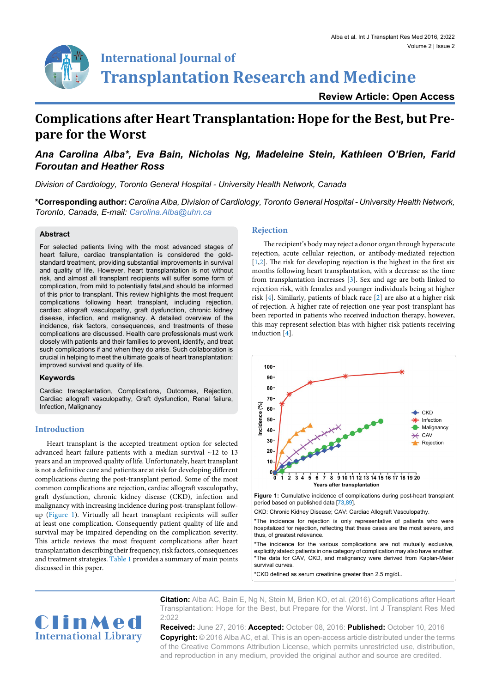

# **International Journal of Transplantation Research and Medicine**

**Review Article: Open Access**

# **Complications after Heart Transplantation: Hope for the Best, but Prepare for the Worst**

# *Ana Carolina Alba\*, Eva Bain, Nicholas Ng, Madeleine Stein, Kathleen O'Brien, Farid Foroutan and Heather Ross*

*Division of Cardiology, Toronto General Hospital - University Health Network, Canada*

**\*Corresponding author:** *Carolina Alba, Division of Cardiology, Toronto General Hospital - University Health Network, Toronto, Canada, E-mail: Carolina.Alba@uhn.ca*

# **Abstract**

For selected patients living with the most advanced stages of heart failure, cardiac transplantation is considered the goldstandard treatment, providing substantial improvements in survival and quality of life. However, heart transplantation is not without risk, and almost all transplant recipients will suffer some form of complication, from mild to potentially fatal,and should be informed of this prior to transplant. This review highlights the most frequent complications following heart transplant, including rejection, cardiac allograft vasculopathy, graft dysfunction, chronic kidney disease, infection, and malignancy. A detailed overview of the incidence, risk factors, consequences, and treatments of these complications are discussed. Health care professionals must work closely with patients and their families to prevent, identify, and treat such complications if and when they do arise. Such collaboration is crucial in helping to meet the ultimate goals of heart transplantation: improved survival and quality of life.

# **Keywords**

Cardiac transplantation, Complications, Outcomes, Rejection, Cardiac allograft vasculopathy, Graft dysfunction, Renal failure, Infection, Malignancy

# **Introduction**

Heart transplant is the accepted treatment option for selected advanced heart failure patients with a median survival ~12 to 13 years and an improved quality of life. Unfortunately, heart transplant is not a definitive cure and patients are at risk for developing different complications during the post-transplant period. Some of the most common complications are rejection, cardiac allograft vasculopathy, graft dysfunction, chronic kidney disease (CKD), infection and malignancy with increasing incidence during post-transplant followup [\(Figure 1\)](#page-0-0). Virtually all heart transplant recipients will suffer at least one complication. Consequently patient quality of life and survival may be impaired depending on the complication severity. This article reviews the most frequent complications after heart transplantation describing their frequency, risk factors, consequences and treatment strategies. [Table 1](#page-1-0) provides a summary of main points discussed in this paper.

# **Rejection**

The recipient's body may reject a donor organ through hyperacute rejection, acute cellular rejection, or antibody-mediated rejection [\[1,](#page-7-0)[2\]](#page-7-1). The risk for developing rejection is the highest in the first six months following heart transplantation, with a decrease as the time from transplantation increases [\[3](#page-7-2)]. Sex and age are both linked to rejection risk, with females and younger individuals being at higher risk [\[4\]](#page-7-3). Similarly, patients of black race [\[2\]](#page-7-1) are also at a higher risk of rejection. A higher rate of rejection one-year post-transplant has been reported in patients who received induction therapy, however, this may represent selection bias with higher risk patients receiving induction [[4\]](#page-7-3).

<span id="page-0-0"></span>

\*The incidence for rejection is only representative of patients who were hospitalized for rejection, reflecting that these cases are the most severe, and thus, of greatest relevance.

\*The incidence for the various complications are not mutually exclusive, explicitly stated: patients in one category of complication may also have another. \*The data for CAV, CKD, and malignancy were derived from Kaplan-Meier survival curves.

\*CKD defined as serum creatinine greater than 2.5 mg/dL.



**Citation:** Alba AC, Bain E, Ng N, Stein M, Brien KO, et al. (2016) Complications after Heart Transplantation: Hope for the Best, but Prepare for the Worst. Int J Transplant Res Med  $2.022$ 

**Received:** June 27, 2016: **Accepted:** October 08, 2016: **Published:** October 10, 2016 **Copyright:** © 2016 Alba AC, et al. This is an open-access article distributed under the terms of the Creative Commons Attribution License, which permits unrestricted use, distribution, and reproduction in any medium, provided the original author and source are credited.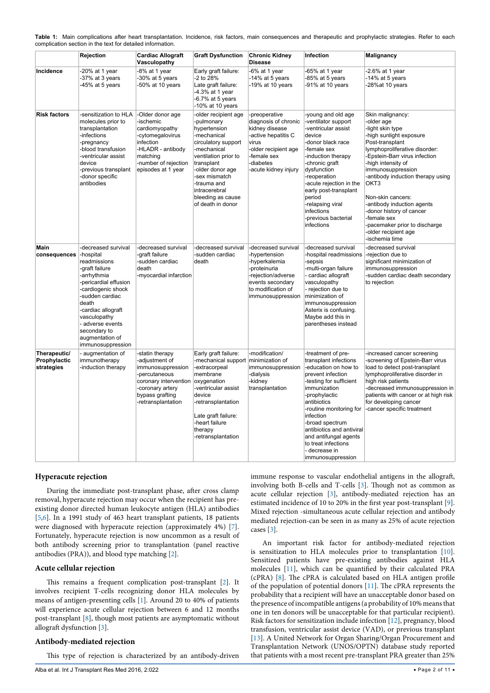|                                            | <b>Rejection</b>                                                                                                                                                                                                                                                             | <b>Cardiac Allograft</b><br>Vasculopathy                                                                                                                        | <b>Graft Dysfunction</b>                                                                                                                                                                                                                                     | <b>Chronic Kidney</b><br><b>Disease</b>                                                                                                                             | Infection                                                                                                                                                                                                                                                                                                                                         | <b>Malignancy</b>                                                                                                                                                                                                                                                                                                                                                                                                                              |
|--------------------------------------------|------------------------------------------------------------------------------------------------------------------------------------------------------------------------------------------------------------------------------------------------------------------------------|-----------------------------------------------------------------------------------------------------------------------------------------------------------------|--------------------------------------------------------------------------------------------------------------------------------------------------------------------------------------------------------------------------------------------------------------|---------------------------------------------------------------------------------------------------------------------------------------------------------------------|---------------------------------------------------------------------------------------------------------------------------------------------------------------------------------------------------------------------------------------------------------------------------------------------------------------------------------------------------|------------------------------------------------------------------------------------------------------------------------------------------------------------------------------------------------------------------------------------------------------------------------------------------------------------------------------------------------------------------------------------------------------------------------------------------------|
| Incidence                                  | -20% at 1 year<br>-37% at 3 years<br>-45% at 5 years                                                                                                                                                                                                                         | -8% at 1 year<br>-30% at 5 years<br>-50% at 10 years                                                                                                            | Early graft failure:<br>-2 to 28%<br>Late graft failure:<br>-4.3% at 1 year<br>$-6.7\%$ at 5 years<br>-10% at 10 years                                                                                                                                       | -6% at 1 year<br>-14% at 5 years<br>-19% at 10 years                                                                                                                | -65% at 1 year<br>-85% at 5 years<br>-91% at 10 years                                                                                                                                                                                                                                                                                             | -2.6% at 1 year<br>$-14\%$ at 5 years<br>-28%at 10 years                                                                                                                                                                                                                                                                                                                                                                                       |
| <b>Risk factors</b>                        | -sensitization to HLA<br>molecules prior to<br>transplantation<br>-infections<br>-pregnancy<br>-blood transfusion<br>-ventricular assist<br>device<br>previous transplant-<br>-donor specific<br>antibodies                                                                  | -Older donor age<br>-ischemic<br>cardiomyopathy<br>-cytomegalovirus<br>infection<br>-HLADR - antibody<br>matching<br>-number of rejection<br>episodes at 1 year | -older recipient age<br>-pulmonary<br>hypertension<br>-mechanical<br>circulatory support<br>-mechanical<br>ventilation prior to<br>transplant<br>-older donor age<br>-sex mismatch<br>-trauma and<br>intracerebral<br>bleeding as cause<br>of death in donor | -preoperative<br>diagnosis of chronic<br>kidney disease<br>-active hepatitis C<br>virus<br>-older recipient age<br>-female sex<br>-diabetes<br>-acute kidney injury | -young and old age<br>-ventilator support<br>-ventricular assist<br>device<br>-donor black race<br>-female sex<br>induction therapy<br>-chronic graft<br>dysfunction<br>-reoperation<br>-acute rejection in the<br>early post-transplant<br>period<br>-relapsing viral<br>infections<br>-previous bacterial<br>infections                         | Skin malignancy:<br>-older age<br>-light skin type<br>-high sunlight exposure<br>Post-transplant<br>lymphoproliferative disorder:<br>-Epstein-Barr virus infection<br>-high intensity of<br>immunosuppression<br>antibody induction therapy using<br>OKT <sub>3</sub><br>Non-skin cancers:<br>-antibody induction agents<br>-donor history of cancer<br>-female sex<br>-pacemaker prior to discharge<br>-older recipient age<br>-ischemia time |
| Main<br>consequences                       | -decreased survival<br>-hospital<br>readmissions<br>-graft failure<br>-arrhythmia<br>pericardial effusion<br>cardiogenic shock<br>-sudden cardiac<br>death<br>-cardiac allograft<br>vasculopathy<br>- adverse events<br>secondary to<br>augmentation of<br>immunosuppression | decreased survival<br>-graft failure<br>-sudden cardiac<br>death<br>-myocardial infarction                                                                      | -decreased survival<br>-sudden cardiac<br>death                                                                                                                                                                                                              | -decreased survival<br>hypertension<br>hyperkalemia<br>-proteinuria<br>-rejection/adverse<br>events secondary<br>to modification of<br>immunosuppression            | -decreased survival<br>hospital readmissions<br>-sepsis<br>-multi-organ failure<br>cardiac allograft<br>vasculopathy<br>- rejection due to<br>minimization of<br>immunosuppression<br>Asterix is confusing.<br>Maybe add this in<br>parentheses instead                                                                                           | -decreased survival<br>-rejection due to<br>significant minimization of<br>immunosuppression<br>-sudden cardiac death secondary<br>to rejection                                                                                                                                                                                                                                                                                                |
| Therapeutic/<br>Prophylactic<br>strategies | - augmentation of<br>immunotherapy<br>-induction therapy                                                                                                                                                                                                                     | -statin therapy<br>adjustment of<br>immunosuppression<br>-percutaneous<br>coronary intervention<br>-coronary artery<br>bypass grafting<br>-retransplantation    | Early graft failure:<br>-mechanical support minimization of<br>-extracorpeal<br>membrane<br>oxygenation<br>-ventricular assist<br>device<br>-retransplantation<br>Late graft failure:<br>-heart failure<br>therapy<br>-retransplantation                     | -modification/<br>immunosuppression<br>-dialysis<br>-kidney<br>transplantation                                                                                      | -treatment of pre-<br>transplant infections<br>-education on how to<br>prevent infection<br>-testing for sufficient<br>immunization<br>-prophylactic<br>antibiotics<br>-routine monitoring for<br>infection<br>-broad spectrum<br>antibiotics and antiviral<br>and antifungal agents<br>to treat infections<br>- decrease in<br>immunosuppression | -increased cancer screening<br>-screening of Epstein-Barr virus<br>load to detect post-transplant<br>lymphoproliferative disorder in<br>high risk patients<br>-decreased immunosuppression in<br>patients with cancer or at high risk<br>for developing cancer<br>-cancer specific treatment                                                                                                                                                   |

<span id="page-1-0"></span>**Table 1:** Main complications after heart transplantation. Incidence, risk factors, main consequences and therapeutic and prophylactic strategies. Refer to each complication section in the text for detailed information.

# **Hyperacute rejection**

During the immediate post-transplant phase, after cross clamp removal, hyperacute rejection may occur when the recipient has preexisting donor directed human leukocyte antigen (HLA) antibodies [[5,](#page-7-10)[6](#page-7-11)]. In a 1991 study of 463 heart transplant patients, 18 patients were diagnosed with hyperacute rejection (approximately 4%) [\[7](#page-7-12)]. Fortunately, hyperacute rejection is now uncommon as a result of both antibody screening prior to transplantation (panel reactive antibodies (PRA)), and blood type matching [[2](#page-7-1)].

# **Acute cellular rejection**

This remains a frequent complication post-transplant [[2\]](#page-7-1). It involves recipient T-cells recognizing donor HLA molecules by means of antigen-presenting cells [\[1](#page-7-0)]. Around 20 to 40% of patients will experience acute cellular rejection between 6 and 12 months post-transplant [\[8\]](#page-7-7), though most patients are asymptomatic without allograft dysfunction [[3\]](#page-7-2).

# **Antibody-mediated rejection**

This type of rejection is characterized by an antibody-driven

immune response to vascular endothelial antigens in the allograft, involving both B-cells and T-cells [\[3](#page-7-2)]. Though not as common as acute cellular rejection [[3](#page-7-2)], antibody-mediated rejection has an estimated incidence of 10 to 20% in the first year post-transplant [\[9\]](#page-7-4). Mixed rejection -simultaneous acute cellular rejection and antibody mediated rejection-can be seen in as many as 25% of acute rejection cases [\[3](#page-7-2)].

An important risk factor for antibody-mediated rejection is sensitization to HLA molecules prior to transplantation [[10\]](#page-7-5). Sensitized patients have pre-existing antibodies against HLA molecules [[11\]](#page-7-6), which can be quantified by their calculated PRA (cPRA) [\[8](#page-7-7)]. The cPRA is calculated based on HLA antigen profile of the population of potential donors [\[11\]](#page-7-6). The cPRA represents the probability that a recipient will have an unacceptable donor based on the presence of incompatible antigens (a probability of 10% means that one in ten donors will be unacceptable for that particular recipient). Risk factors for sensitization include infection [\[12](#page-7-8)], pregnancy, blood transfusion, ventricular assist device (VAD), or previous transplant [[13](#page-7-9)]. A United Network for Organ Sharing/Organ Procurement and Transplantation Network (UNOS/OPTN) database study reported that patients with a most recent pre-transplant PRA greater than 25%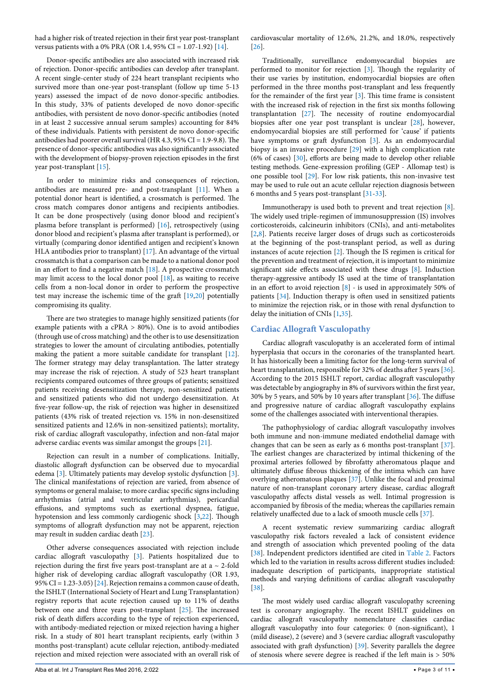had a higher risk of treated rejection in their first year post-transplant versus patients with a 0% PRA (OR 1.4, 95% CI = 1.07-1.92) [[14](#page-7-15)].

Donor-specific antibodies are also associated with increased risk of rejection. Donor-specific antibodies can develop after transplant. A recent single-center study of 224 heart transplant recipients who survived more than one-year post-transplant (follow up time 5-13 years) assessed the impact of de novo donor-specific antibodies. In this study, 33% of patients developed de novo donor-specific antibodies, with persistent de novo donor-specific antibodies (noted in at least 2 successive annual serum samples) accounting for 84% of these individuals. Patients with persistent de novo donor-specific antibodies had poorer overall survival (HR 4.3, 95% CI = 1.9-9.8). The presence of donor-specific antibodies was also significantly associated with the development of biopsy-proven rejection episodes in the first year post-transplant [\[15](#page-7-16)].

In order to minimize risks and consequences of rejection, antibodies are measured pre- and post-transplant [\[11\]](#page-7-6). When a potential donor heart is identified, a crossmatch is performed. The cross match compares donor antigens and recipients antibodies. It can be done prospectively (using donor blood and recipient's plasma before transplant is performed) [\[16](#page-7-17)], retrospectively (using donor blood and recipient's plasma after transplant is performed), or virtually (comparing donor identified antigen and recipient's known HLA antibodies prior to transplant) [[17](#page-7-18)]. An advantage of the virtual crossmatch is that a comparison can be made to a national donor pool in an effort to find a negative match [\[18](#page-7-19)]. A prospective crossmatch may limit access to the local donor pool [\[18\]](#page-7-19), as waiting to receive cells from a non-local donor in order to perform the prospective test may increase the ischemic time of the graft [\[19](#page-7-20)[,20\]](#page-7-21) potentially compromising its quality.

There are two strategies to manage highly sensitized patients (for example patients with a cPRA > 80%). One is to avoid antibodies (through use of cross matching) and the other is to use desensitization strategies to lower the amount of circulating antibodies, potentially making the patient a more suitable candidate for transplant [[12](#page-7-8)]. The former strategy may delay transplantation. The latter strategy may increase the risk of rejection. A study of 523 heart transplant recipients compared outcomes of three groups of patients; sensitized patients receiving desensitization therapy, non-sensitized patients and sensitized patients who did not undergo desensitization. At five-year follow-up, the risk of rejection was higher in desensitized patients (43% risk of treated rejection vs. 15% in non-desensitized sensitized patients and 12.6% in non-sensitized patients); mortality, risk of cardiac allograft vasculopathy, infection and non-fatal major adverse cardiac events was similar amongst the groups [[21](#page-7-22)].

Rejection can result in a number of complications. Initially, diastolic allograft dysfunction can be observed due to myocardial edema [[3](#page-7-2)]. Ultimately patients may develop systolic dysfunction [\[3](#page-7-2)]. The clinical manifestations of rejection are varied, from absence of symptoms or general malaise; to more cardiac specific signs including arrhythmias (atrial and ventricular arrhythmias), pericardial effusions, and symptoms such as exertional dyspnea, fatigue, hypotension and less commonly cardiogenic shock [[3](#page-7-2)[,22](#page-7-23)]. Though symptoms of allograft dysfunction may not be apparent, rejection may result in sudden cardiac death [\[23\]](#page-7-24).

Other adverse consequences associated with rejection include cardiac allograft vasculopathy [\[3\]](#page-7-2). Patients hospitalized due to rejection during the first five years post-transplant are at a  $\sim$  2-fold higher risk of developing cardiac allograft vasculopathy (OR 1.93, 95% CI = 1.23-3.05) [[24](#page-7-25)]. Rejection remains a common cause of death, the ISHLT (International Society of Heart and Lung Transplantation) registry reports that acute rejection caused up to 11% of deaths between one and three years post-transplant [[25](#page-7-26)]. The increased risk of death differs according to the type of rejection experienced, with antibody-mediated rejection or mixed rejection having a higher risk. In a study of 801 heart transplant recipients, early (within 3 months post-transplant) acute cellular rejection, antibody-mediated rejection and mixed rejection were associated with an overall risk of cardiovascular mortality of 12.6%, 21.2%, and 18.0%, respectively [[26](#page-7-13)].

Traditionally, surveillance endomyocardial biopsies are performed to monitor for rejection [[3](#page-7-2)]. Though the regularity of their use varies by institution, endomyocardial biopsies are often performed in the three months post-transplant and less frequently for the remainder of the first year [[3\]](#page-7-2). This time frame is consistent with the increased risk of rejection in the first six months following transplantation [[27](#page-7-14)]. The necessity of routine endomyocardial biopsies after one year post transplant is unclear [[28](#page-8-1)], however, endomyocardial biopsies are still performed for 'cause' if patients have symptoms or graft dysfunction [[3\]](#page-7-2). As an endomyocardial biopsy is an invasive procedure [[29](#page-8-2)] with a high complication rate (6% of cases) [[30](#page-8-3)], efforts are being made to develop other reliable testing methods. Gene-expression profiling (GEP - Allomap test) is one possible tool [[29\]](#page-8-2). For low risk patients, this non-invasive test may be used to rule out an acute cellular rejection diagnosis between 6 months and 5 years post-transplant [\[31-](#page-8-4)[33\]](#page-8-5).

Immunotherapy is used both to prevent and treat rejection [\[8\]](#page-7-7). The widely used triple-regimen of immunosuppression (IS) involves corticosteroids, calcineurin inhibitors (CNIs), and anti-metabolites [[2](#page-7-1)[,8\]](#page-7-7). Patients receive larger doses of drugs such as corticosteroids at the beginning of the post-transplant period, as well as during instances of acute rejection [[2](#page-7-1)]. Though the IS regimen is critical for the prevention and treatment of rejection, it is important to minimize significant side effects associated with these drugs [\[8](#page-7-7)]. Induction therapy-aggressive antibody IS used at the time of transplantation in an effort to avoid rejection [[8\]](#page-7-7) - is used in approximately 50% of patients [\[34](#page-8-6)]. Induction therapy is often used in sensitized patients to minimize the rejection risk, or in those with renal dysfunction to delay the initiation of CNIs [\[1](#page-7-0),[35](#page-8-7)].

# **Cardiac Allograft Vasculopathy**

Cardiac allograft vasculopathy is an accelerated form of intimal hyperplasia that occurs in the coronaries of the transplanted heart. It has historically been a limiting factor for the long-term survival of heart transplantation, responsible for 32% of deaths after 5 years [[36\]](#page-8-8). According to the 2015 ISHLT report, cardiac allograft vasculopathy was detectable by angiography in 8% of survivors within the first year, 30% by 5 years, and 50% by 10 years after transplant [\[36\]](#page-8-8). The diffuse and progressive nature of cardiac allograft vasculopathy explains some of the challenges associated with interventional therapies.

The pathophysiology of cardiac allograft vasculopathy involves both immune and non-immune mediated endothelial damage with changes that can be seen as early as 6 months post-transplant [[37\]](#page-8-9). The earliest changes are characterized by intimal thickening of the proximal arteries followed by fibrofatty atheromatous plaque and ultimately diffuse fibrous thickening of the intima which can have overlying atheromatous plaques [[37](#page-8-9)]. Unlike the focal and proximal nature of non-transplant coronary artery disease, cardiac allograft vasculopathy affects distal vessels as well. Intimal progression is accompanied by fibrosis of the media; whereas the capillaries remain relatively unaffected due to a lack of smooth muscle cells [[37](#page-8-9)].

A recent systematic review summarizing cardiac allograft vasculopathy risk factors revealed a lack of consistent evidence and strength of association which prevented pooling of the data [[38](#page-8-10)]. Independent predictors identified are cited in [Table 2](#page-3-0). Factors which led to the variation in results across different studies included: inadequate description of participants, inappropriate statistical methods and varying definitions of cardiac allograft vasculopathy [[38](#page-8-10)].

The most widely used cardiac allograft vasculopathy screening test is coronary angiography. The recent ISHLT guidelines on cardiac allograft vasculopathy nomenclature classifies cardiac allograft vasculopathy into four categories: 0 (non-significant), 1 (mild disease), 2 (severe) and 3 (severe cardiac allograft vasculopathy associated with graft dysfunction) [\[39\]](#page-8-11). Severity parallels the degree of stenosis where severe degree is reached if the left main is > 50%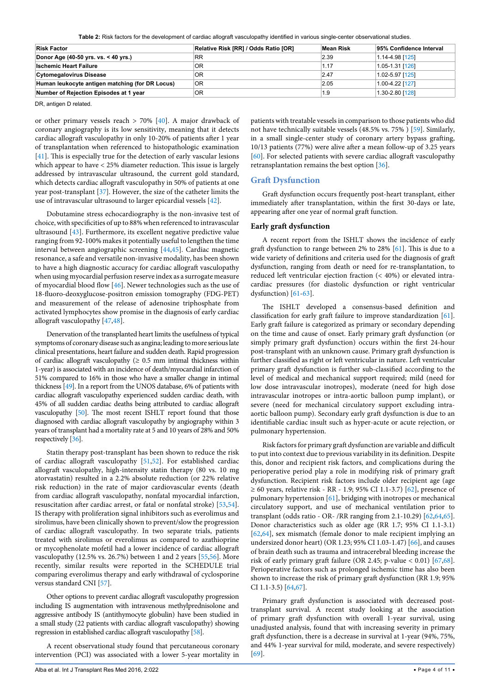<span id="page-3-0"></span>**Table 2:** Risk factors for the development of cardiac allograft vasculopathy identified in various single-center observational studies.

| <b>Risk Factor</b>                              | Relative Risk [RR] / Odds Ratio [OR] | Mean Risk | 95% Confidence Interval |
|-------------------------------------------------|--------------------------------------|-----------|-------------------------|
| Donor Age (40-50 yrs. vs. < 40 yrs.)            | <b>RR</b>                            | 2.39      | 1.14-4.98 [125]         |
| <b>Ischemic Heart Failure</b>                   | OR                                   | 1.17      | 1.05-1.31 [126]         |
| <b>Cytomegalovirus Disease</b>                  | 0R                                   | 2.47      | 1.02-5.97 [125]         |
| Human leukocyte antigen matching (for DR Locus) | OR                                   | 2.05      | 1.00-4.22 [127]         |
| Number of Rejection Episodes at 1 year          | 0R                                   | 1.9       | 1.30-2.80 [128]         |

DR, antigen D related.

or other primary vessels reach  $> 70\%$  [\[40\]](#page-8-23). A major drawback of coronary angiography is its low sensitivity, meaning that it detects cardiac allograft vasculopathy in only 10-20% of patients after 1 year of transplantation when referenced to histopathologic examination [[41](#page-8-24)]. This is especially true for the detection of early vascular lesions which appear to have < 25% diameter reduction. This issue is largely addressed by intravascular ultrasound, the current gold standard, which detects cardiac allograft vasculopathy in 50% of patients at one year post-transplant [[37](#page-8-9)]. However, the size of the catheter limits the use of intravascular ultrasound to larger epicardial vessels [\[42\]](#page-8-25).

Dobutamine stress echocardiography is the non-invasive test of choice, with specificities of up to 88% when referenced to intravascular ultrasound [[43](#page-8-26)]. Furthermore, its excellent negative predictive value ranging from 92-100% makes it potentially useful to lengthen the time interval between angiographic screening [\[44,](#page-8-27)[45](#page-8-28)]. Cardiac magnetic resonance, a safe and versatile non-invasive modality, has been shown to have a high diagnostic accuracy for cardiac allograft vasculopathy when using myocardial perfusion reserve index as a surrogate measure of myocardial blood flow [\[46\]](#page-8-29). Newer technologies such as the use of 18-fluoro-deoxyglucose-positron emission tomography (FDG-PET) and measurement of the release of adenosine triphosphate from activated lymphocytes show promise in the diagnosis of early cardiac allograft vasculopathy [[47](#page-8-30)[,48](#page-8-31)].

Denervation of the transplanted heart limits the usefulness of typical symptoms of coronary disease such as angina; leading to more serious late clinical presentations, heart failure and sudden death. Rapid progression of cardiac allograft vasculopathy ( $\geq 0.5$  mm intimal thickness within 1-year) is associated with an incidence of death/myocardial infarction of 51% compared to 16% in those who have a smaller change in intimal thickness [\[49\]](#page-8-32). In a report from the UNOS database, 6% of patients with cardiac allograft vasculopathy experienced sudden cardiac death, with 45% of all sudden cardiac deaths being attributed to cardiac allograft vasculopathy [[50\]](#page-8-33). The most recent ISHLT report found that those diagnosed with cardiac allograft vasculopathy by angiography within 3 years of transplant had a mortality rate at 5 and 10 years of 28% and 50% respectively [[36\]](#page-8-8).

Statin therapy post-transplant has been shown to reduce the risk of cardiac allograft vasculopathy [\[51,](#page-8-34)[52](#page-8-35)]. For established cardiac allograft vasculopathy, high-intensity statin therapy (80 vs. 10 mg atorvastatin) resulted in a 2.2% absolute reduction (or 22% relative risk reduction) in the rate of major cardiovascular events (death from cardiac allograft vasculopathy, nonfatal myocardial infarction, resuscitation after cardiac arrest, or fatal or nonfatal stroke) [\[53,](#page-8-36)[54](#page-8-37)]. IS therapy with proliferation signal inhibitors such as everolimus and sirolimus, have been clinically shown to prevent/slow the progression of cardiac allograft vasculopathy. In two separate trials, patients treated with sirolimus or everolimus as compared to azathioprine or mycophenolate mofetil had a lower incidence of cardiac allograft vasculopathy (12.5% vs. 26.7%) between 1 and 2 years [[55,](#page-8-38)[56](#page-8-39)]. More recently, similar results were reported in the SCHEDULE trial comparing everolimus therapy and early withdrawal of cyclosporine versus standard CNI [[57\]](#page-8-40).

Other options to prevent cardiac allograft vasculopathy progression including IS augmentation with intravenous methylprednisolone and aggressive antibody IS (antithymocyte globulin) have been studied in a small study (22 patients with cardiac allograft vasculopathy) showing regression in established cardiac allograft vasculopathy [\[58](#page-8-41)].

A recent observational study found that percutaneous coronary intervention (PCI) was associated with a lower 5-year mortality in

patients with treatable vessels in comparison to those patients who did not have technically suitable vessels (48.5% vs. 75% ) [\[59\]](#page-8-12). Similarly, in a small single-center study of coronary artery bypass grafting, 10/13 patients (77%) were alive after a mean follow-up of 3.25 years [[60](#page-8-13)]. For selected patients with severe cardiac allograft vasculopathy retransplantation remains the best option [[36](#page-8-8)].

# **Graft Dysfunction**

Graft dysfunction occurs frequently post-heart transplant, either immediately after transplantation, within the first 30-days or late, appearing after one year of normal graft function.

# **Early graft dysfunction**

A recent report from the ISHLT shows the incidence of early graft dysfunction to range between 2% to 28% [\[61\]](#page-8-14). This is due to a wide variety of definitions and criteria used for the diagnosis of graft dysfunction, ranging from death or need for re-transplantation, to reduced left ventricular ejection fraction (< 40%) or elevated intracardiac pressures (for diastolic dysfunction or right ventricular dysfunction) [\[61-](#page-8-14)[63](#page-8-15)].

The ISHLT developed a consensus-based definition and classification for early graft failure to improve standardization [[61\]](#page-8-14). Early graft failure is categorized as primary or secondary depending on the time and cause of onset. Early primary graft dysfunction (or simply primary graft dysfunction) occurs within the first 24-hour post-transplant with an unknown cause. Primary graft dysfunction is further classified as right or left ventricular in nature. Left ventricular primary graft dysfunction is further sub-classified according to the level of medical and mechanical support required; mild (need for low dose intravascular inotropes), moderate (need for high dose intravascular inotropes or intra-aortic balloon pump implant), or severe (need for mechanical circulatory support excluding intraaortic balloon pump). Secondary early graft dysfunction is due to an identifiable cardiac insult such as hyper-acute or acute rejection, or pulmonary hypertension.

Risk factors for primary graft dysfunction are variable and difficult to put into context due to previous variability in its definition. Despite this, donor and recipient risk factors, and complications during the perioperative period play a role in modifying risk of primary graft dysfunction. Recipient risk factors include older recipient age (age ≥ 60 years, relative risk - RR - 1.9; 95% CI 1.1-3.7) [\[62\]](#page-8-16), presence of pulmonary hypertension [\[61\]](#page-8-14), bridging with inotropes or mechanical circulatory support, and use of mechanical ventilation prior to transplant (odds ratio - OR- /RR ranging from 2.1-10.29) [[62](#page-8-16)[,64,](#page-8-17)[65\]](#page-8-18). Donor characteristics such as older age (RR 1.7; 95% CI 1.1-3.1) [[62](#page-8-16),[64](#page-8-17)], sex mismatch (female donor to male recipient implying an undersized donor heart) (OR 1.23; 95% CI 1.03-1.47) [[66](#page-8-19)], and causes of brain death such as trauma and intracerebral bleeding increase the risk of early primary graft failure (OR 2.45; p-value < 0.01) [\[67,](#page-8-20)[68\]](#page-8-21). Perioperative factors such as prolonged ischemic time has also been shown to increase the risk of primary graft dysfunction (RR 1.9; 95% CI 1.1-3.5) [[64](#page-8-17)[,67](#page-8-20)].

Primary graft dysfunction is associated with decreased posttransplant survival. A recent study looking at the association of primary graft dysfunction with overall 1-year survival, using unadjusted analysis, found that with increasing severity in primary graft dysfunction, there is a decrease in survival at 1-year (94%, 75%, and 44% 1-year survival for mild, moderate, and severe respectively) [[69](#page-8-22)].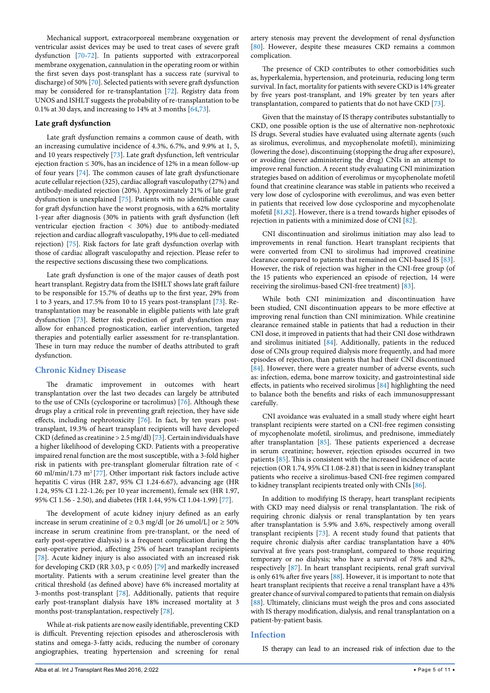Mechanical support, extracorporeal membrane oxygenation or ventricular assist devices may be used to treat cases of severe graft dysfunction [\[70](#page-8-42)[-72\]](#page-8-43). In patients supported with extracorporeal membrane oxygenation, cannulation in the operating room or within the first seven days post-transplant has a success rate (survival to discharge) of 50% [[70](#page-8-42)]. Selected patients with severe graft dysfunction may be considered for re-transplantation [\[72\]](#page-8-43). Registry data from UNOS and ISHLT suggests the probability of re-transplantation to be 0.1% at 30 days, and increasing to 14% at 3 months [\[64](#page-8-17)[,73\]](#page-8-0).

# **Late graft dysfunction**

Late graft dysfunction remains a common cause of death, with an increasing cumulative incidence of 4.3%, 6.7%, and 9.9% at 1, 5, and 10 years respectively [[73](#page-8-0)]. Late graft dysfunction, left ventricular ejection fraction  $\leq 30\%$ , has an incidence of 12% in a mean follow-up of four years [[74](#page-9-10)]. The common causes of late graft dysfunctionare acute cellular rejection (325), cardiac allograft vasculopathy (27%) and antibody-mediated rejection (20%). Approximately 21% of late graft dysfunction is unexplained [[75](#page-9-11)]. Patients with no identifiable cause for graft dysfunction have the worst prognosis, with a 62% mortality 1-year after diagnosis (30% in patients with graft dysfunction (left ventricular ejection fraction < 30%) due to antibody-mediated rejection and cardiac allograft vasculopathy, 19% due to cell-mediated rejection) [[75](#page-9-11)]. Risk factors for late graft dysfunction overlap with those of cardiac allograft vasculopathy and rejection. Please refer to the respective sections discussing these two complications.

Late graft dysfunction is one of the major causes of death post heart transplant. Registry data from the ISHLT shows late graft failure to be responsible for 15.7% of deaths up to the first year, 29% from 1 to 3 years, and 17.5% from 10 to 15 years post-transplant [[73](#page-8-0)]. Retransplantation may be reasonable in eligible patients with late graft dysfunction [[73](#page-8-0)]. Better risk prediction of graft dysfunction may allow for enhanced prognostication, earlier intervention, targeted therapies and potentially earlier assessment for re-transplantation. These in turn may reduce the number of deaths attributed to graft dysfunction.

## **Chronic Kidney Disease**

The dramatic improvement in outcomes with heart transplantation over the last two decades can largely be attributed to the use of CNIs (cyclosporine or tacrolimus) [\[76\]](#page-9-12). Although these drugs play a critical role in preventing graft rejection, they have side effects, including nephrotoxicity [[76](#page-9-12)]. In fact, by ten years posttransplant, 19.3% of heart transplant recipients will have developed CKD (defined as creatinine > 2.5 mg/dl) [\[73\]](#page-8-0). Certain individuals have a higher likelihood of developing CKD. Patients with a preoperative impaired renal function are the most susceptible, with a 3-fold higher risk in patients with pre-transplant glomerular filtration rate of < 60 ml/min/1.73 m<sup>2</sup> [[77](#page-9-13)]. Other important risk factors include active hepatitis C virus (HR 2.87, 95% CI 1.24-6.67), advancing age (HR 1.24, 95% CI 1.22-1.26; per 10 year increment), female sex (HR 1.97, 95% CI 1.56 - 2.50), and diabetes (HR 1.44, 95% CI 1.04-1.99) [[77](#page-9-13)].

The development of acute kidney injury defined as an early increase in serum creatinine of  $\geq 0.3$  mg/dl [or 26 umol/L] or  $\geq 50\%$ increase in serum creatinine from pre-transplant, or the need of early post-operative dialysis) is a frequent complication during the post-operative period, affecting 25% of heart transplant recipients [[78](#page-9-14)]. Acute kidney injury is also associated with an increased risk for developing CKD (RR 3.03, p < 0.05) [[79](#page-9-15)] and markedly increased mortality. Patients with a serum creatinine level greater than the critical threshold (as defined above) have 6% increased mortality at 3-months post-transplant [\[78\]](#page-9-14). Additionally, patients that require early post-transplant dialysis have 18% increased mortality at 3 months post-transplantation, respectively [[78\]](#page-9-14).

While at-risk patients are now easily identifiable, preventing CKD is difficult. Preventing rejection episodes and atherosclerosis with statins and omega-3-fatty acids, reducing the number of coronary angiographies, treating hypertension and screening for renal artery stenosis may prevent the development of renal dysfunction [[80](#page-9-1)]. However, despite these measures CKD remains a common complication.

The presence of CKD contributes to other comorbidities such as, hyperkalemia, hypertension, and proteinuria, reducing long term survival. In fact, mortality for patients with severe CKD is 14% greater by five years post-transplant, and 19% greater by ten years after transplantation, compared to patients that do not have CKD [\[73\]](#page-8-0).

Given that the mainstay of IS therapy contributes substantially to CKD, one possible option is the use of alternative non-nephrotoxic IS drugs. Several studies have evaluated using alternate agents (such as sirolimus, everolimus, and mycophenolate mofetil), minimizing (lowering the dose), discontinuing (stopping the drug after exposure), or avoiding (never administering the drug) CNIs in an attempt to improve renal function. A recent study evaluating CNI minimization strategies based on addition of everolimus or mycophenolate mofetil found that creatinine clearance was stable in patients who received a very low dose of cyclosporine with everolimus, and was even better in patients that received low dose cyclosporine and mycophenolate mofetil [[81,](#page-9-2)[82](#page-9-3)]. However, there is a trend towards higher episodes of rejection in patients with a minimized dose of CNI [[82](#page-9-3)].

CNI discontinuation and sirolimus initiation may also lead to improvements in renal function. Heart transplant recipients that were converted from CNI to sirolimus had improved creatinine clearance compared to patients that remained on CNI-based IS [[83\]](#page-9-4). However, the risk of rejection was higher in the CNI-free group (of the 15 patients who experienced an episode of rejection, 14 were receiving the sirolimus-based CNI-free treatment) [[83\]](#page-9-4).

While both CNI minimization and discontinuation have been studied, CNI discontinuation appears to be more effective at improving renal function than CNI minimization. While creatinine clearance remained stable in patients that had a reduction in their CNI dose, it improved in patients that had their CNI dose withdrawn and sirolimus initiated [[84](#page-9-5)]. Additionally, patients in the reduced dose of CNIs group required dialysis more frequently, and had more episodes of rejection, than patients that had their CNI discontinued [[84](#page-9-5)]. However, there were a greater number of adverse events, such as: infection, edema, bone marrow toxicity, and gastrointestinal side effects, in patients who received sirolimus [\[84\]](#page-9-5) highlighting the need to balance both the benefits and risks of each immunosuppressant carefully.

CNI avoidance was evaluated in a small study where eight heart transplant recipients were started on a CNI-free regimen consisting of mycophenolate mofetil, sirolimus, and prednisone, immediately after transplantation [[85](#page-9-6)]. These patients experienced a decrease in serum creatinine; however, rejection episodes occurred in two patients [[85](#page-9-6)]. This is consistent with the increased incidence of acute rejection (OR 1.74, 95% CI 1.08-2.81) that is seen in kidney transplant patients who receive a sirolimus-based CNI-free regimen compared to kidney transplant recipients treated only with CNIs [\[86](#page-9-7)].

In addition to modifying IS therapy, heart transplant recipients with CKD may need dialysis or renal transplantation. The risk of requiring chronic dialysis or renal transplantation by ten years after transplantation is 5.9% and 3.6%, respectively among overall transplant recipients [\[73\]](#page-8-0). A recent study found that patients that require chronic dialysis after cardiac transplantation have a 40% survival at five years post-transplant, compared to those requiring temporary or no dialysis; who have a survival of 78% and 82%, respectively [\[87\]](#page-9-8). In heart transplant recipients, renal graft survival is only 61% after five years [[88](#page-9-9)]. However, it is important to note that heart transplant recipients that receive a renal transplant have a 43% greater chance of survival compared to patients that remain on dialysis [[88](#page-9-9)]. Ultimately, clinicians must weigh the pros and cons associated with IS therapy modification, dialysis, and renal transplantation on a patient-by-patient basis.

#### **Infection**

IS therapy can lead to an increased risk of infection due to the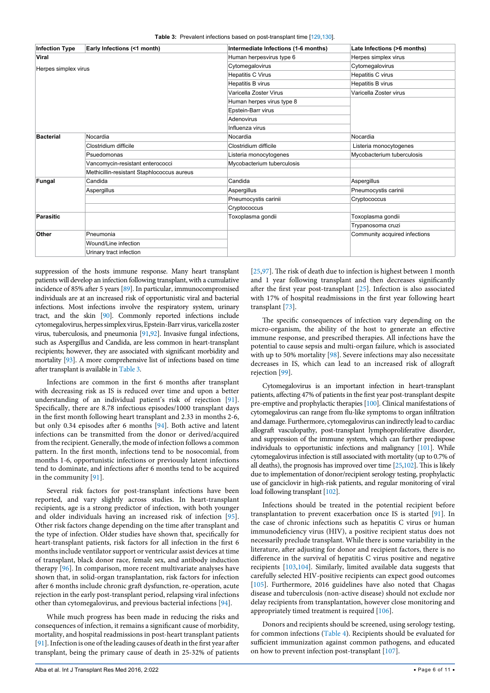<span id="page-5-0"></span>

|  |  | <b>Table 3:</b> Prevalent infections based on post-transplant time [129,130]. |  |  |  |  |  |  |  |
|--|--|-------------------------------------------------------------------------------|--|--|--|--|--|--|--|
|--|--|-------------------------------------------------------------------------------|--|--|--|--|--|--|--|

| <b>Infection Type</b> | Early Infections (<1 month)                | Intermediate Infections (1-6 months) | Late Infections (>6 months)   |  |
|-----------------------|--------------------------------------------|--------------------------------------|-------------------------------|--|
| Viral                 |                                            | Human herpesvirus type 6             | Herpes simplex virus          |  |
| Herpes simplex virus  |                                            | Cytomegalovirus                      | Cytomegalovirus               |  |
|                       |                                            | <b>Hepatitis C Virus</b>             | Hepatitis C virus             |  |
|                       |                                            | Hepatitis B virus                    | Hepatitis B virus             |  |
|                       |                                            | Varicella Zoster Virus               | Varicella Zoster virus        |  |
|                       |                                            | Human herpes virus type 8            |                               |  |
|                       |                                            | Epstein-Barr virus                   |                               |  |
|                       |                                            | Adenovirus                           |                               |  |
|                       |                                            | Influenza virus                      |                               |  |
| <b>Bacterial</b>      | Nocardia                                   | Nocardia                             | Nocardia                      |  |
|                       | Clostridium difficile                      | Clostridium difficile                | Listeria monocytogenes        |  |
|                       | Psuedomonas                                | Listeria monocytogenes               | Mycobacterium tuberculosis    |  |
|                       | Vancomycin-resistant enterococci           | Mycobacterium tuberculosis           |                               |  |
|                       | Methicillin-resistant Staphlococcus aureus |                                      |                               |  |
| Fungal                | Candida                                    | Candida                              | Aspergillus                   |  |
|                       | Aspergillus                                | Aspergillus                          | Pneumocystis carinii          |  |
|                       |                                            | Pneumocystis carinii                 | Cryptococcus                  |  |
|                       |                                            | Cryptococcus                         |                               |  |
| Parasitic             |                                            | Toxoplasma gondii                    | Toxoplasma gondii             |  |
|                       |                                            |                                      | Trypanosoma cruzi             |  |
| Other                 | Pneumonia                                  |                                      | Community acquired infections |  |
|                       | Wound/Line infection                       |                                      |                               |  |
|                       | Urinary tract infection                    |                                      |                               |  |

suppression of the hosts immune response. Many heart transplant patients will develop an infection following transplant, with a cumulative incidence of 85% after 5 years [[89](#page-9-0)]. In particular, immunocompromised individuals are at an increased risk of opportunistic viral and bacterial infections. Most infections involve the respiratory system, urinary tract, and the skin [\[90](#page-9-28)]. Commonly reported infections include cytomegalovirus, herpes simplex virus, Epstein-Barr virus, varicella zoster virus, tuberculosis, and pneumonia [[91,](#page-9-22)[92\]](#page-9-29). Invasive fungal infections, such as Aspergillus and Candida, are less common in heart-transplant recipients; however, they are associated with significant morbidity and mortality [\[93](#page-9-30)]. A more comprehensive list of infections based on time after transplant is available in [Table 3.](#page-5-0)

Infections are common in the first 6 months after transplant with decreasing risk as IS is reduced over time and upon a better understanding of an individual patient's risk of rejection [[91](#page-9-22)]. Specifically, there are 8.78 infectious episodes/1000 transplant days in the first month following heart transplant and 2.33 in months 2-6, but only 0.34 episodes after 6 months [\[94\]](#page-9-30). Both active and latent infections can be transmitted from the donor or derived/acquired from the recipient. Generally, the mode of infection follows a common pattern. In the first month, infections tend to be nosocomial, from months 1-6, opportunistic infections or previously latent infections tend to dominate, and infections after 6 months tend to be acquired in the community [[91](#page-9-22)].

Several risk factors for post-transplant infections have been reported, and vary slightly across studies. In heart-transplant recipients, age is a strong predictor of infection, with both younger and older individuals having an increased risk of infection [[95](#page-9-31)]. Other risk factors change depending on the time after transplant and the type of infection. Older studies have shown that, specifically for heart-transplant patients, risk factors for all infection in the first 6 months include ventilator support or ventricular assist devices at time of transplant, black donor race, female sex, and antibody induction therapy [\[96](#page-9-32)]. In comparison, more recent multivariate analyses have shown that, in solid-organ transplantation, risk factors for infection after 6 months include chronic graft dysfunction, re-operation, acute rejection in the early post-transplant period, relapsing viral infections other than cytomegalovirus, and previous bacterial infections [\[94](#page-9-30)].

While much progress has been made in reducing the risks and consequences of infection, it remains a significant cause of morbidity, mortality, and hospital readmissions in post-heart transplant patients [[91](#page-9-22)]. Infection is one of the leading causes of death in the first year after transplant, being the primary cause of death in 25-32% of patients [[25](#page-7-26),[97](#page-9-16)]. The risk of death due to infection is highest between 1 month and 1 year following transplant and then decreases significantly after the first year post-transplant [[25](#page-7-26)]. Infection is also associated with 17% of hospital readmissions in the first year following heart transplant [[73](#page-8-0)].

The specific consequences of infection vary depending on the micro-organism, the ability of the host to generate an effective immune response, and prescribed therapies. All infections have the potential to cause sepsis and multi-organ failure, which is associated with up to 50% mortality [[98](#page-9-17)]. Severe infections may also necessitate decreases in IS, which can lead to an increased risk of allograft rejection [[99](#page-9-18)].

Cytomegalovirus is an important infection in heart-transplant patients, affecting 47% of patients in the first year post-transplant despite pre-emptive and prophylactic therapies [\[100\]](#page-9-19). Clinical manifestations of cytomegalovirus can range from flu-like symptoms to organ infiltration and damage. Furthermore, cytomegalovirus can indirectly lead to cardiac allograft vasculopathy, post-transplant lymphoproliferative disorder, and suppression of the immune system, which can further predispose individuals to opportunistic infections and malignancy [\[101\]](#page-9-20). While cytomegalovirus infection is still associated with mortality (up to 0.7% of all deaths), the prognosis has improved over time [\[25,](#page-7-26)[102\]](#page-9-21). This is likely due to implementation of donor/recipient serology testing, prophylactic use of ganciclovir in high-risk patients, and regular monitoring of viral load following transplant [[102](#page-9-21)].

Infections should be treated in the potential recipient before transplantation to prevent exacerbation once IS is started [\[91](#page-9-22)]. In the case of chronic infections such as hepatitis C virus or human immunodeficiency virus (HIV), a positive recipient status does not necessarily preclude transplant. While there is some variability in the literature, after adjusting for donor and recipient factors, there is no difference in the survival of hepatitis C virus positive and negative recipients [[103,](#page-9-23)[104\]](#page-9-24). Similarly, limited available data suggests that carefully selected HIV-positive recipients can expect good outcomes [[105\]](#page-9-25). Furthermore, 2016 guidelines have also noted that Chagas disease and tuberculosis (non-active disease) should not exclude nor delay recipients from transplantation, however close monitoring and appropriately timed treatment is required [[106\]](#page-9-26).

Donors and recipients should be screened, using serology testing, for common infections ([Table 4\)](#page-6-0). Recipients should be evaluated for sufficient immunization against common pathogens, and educated on how to prevent infection post-transplant [[107\]](#page-9-27).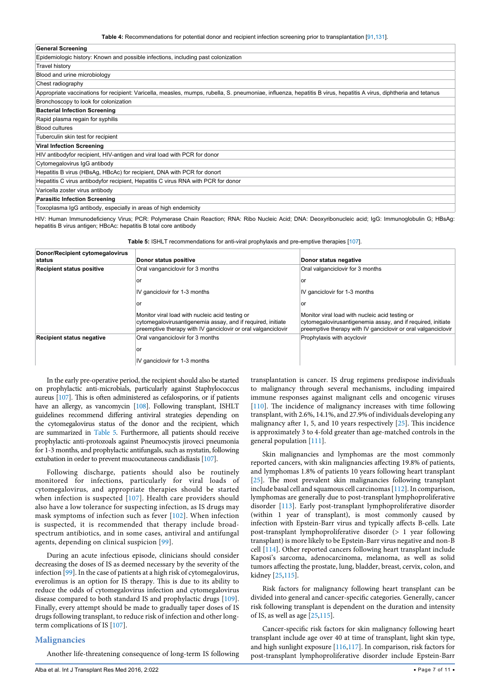<span id="page-6-0"></span>**Table 4:** Recommendations for potential donor and recipient infection screening prior to transplantation [[91](#page-9-22),[131](#page-10-6)].

|  | <b>General Screening</b> |
|--|--------------------------|
|--|--------------------------|

| Epidemiologic history: Known and possible infections, including past colonization                                                                                  |
|--------------------------------------------------------------------------------------------------------------------------------------------------------------------|
| <b>Travel history</b>                                                                                                                                              |
| Blood and urine microbiology                                                                                                                                       |
| Chest radiography                                                                                                                                                  |
| Appropriate vaccinations for recipient: Varicella, measles, mumps, rubella, S. pneumoniae, influenza, hepatitis B virus, hepatitis A virus, diphtheria and tetanus |
| Bronchoscopy to look for colonization                                                                                                                              |
| <b>Bacterial Infection Screening</b>                                                                                                                               |
| Rapid plasma regain for syphilis                                                                                                                                   |
| <b>Blood cultures</b>                                                                                                                                              |
| Tuberculin skin test for recipient                                                                                                                                 |
| <b>Viral Infection Screening</b>                                                                                                                                   |
| HIV antibody for recipient, HIV-antigen and viral load with PCR for donor                                                                                          |
| Cytomegalovirus IgG antibody                                                                                                                                       |
| Hepatitis B virus (HBsAg, HBcAc) for recipient, DNA with PCR for donort                                                                                            |
| Hepatitis C virus antibody for recipient, Hepatitis C virus RNA with PCR for donor                                                                                 |
| Varicella zoster virus antibody                                                                                                                                    |
| <b>Parasitic Infection Screening</b>                                                                                                                               |
| Toxoplasma IqG antibody, especially in areas of high endemicity                                                                                                    |

HIV: Human Immunodeficiency Virus; PCR: Polymerase Chain Reaction; RNA: Ribo Nucleic Acid; DNA: Deoxyribonucleic acid; IgG: Immunoglobulin G; HBsAg: hepatitis B virus antigen; HBcAc: hepatitis B total core antibody

<span id="page-6-1"></span>**Table 5:** ISHLT recommendations for anti-viral prophylaxis and pre-emptive therapies [\[107](#page-9-27)].

| Donor/Recipient cytomegalovirus<br>status | Donor status positive                                                                                                                                                           | Donor status negative                                                                                                                                                           |
|-------------------------------------------|---------------------------------------------------------------------------------------------------------------------------------------------------------------------------------|---------------------------------------------------------------------------------------------------------------------------------------------------------------------------------|
| <b>Recipient status positive</b>          | Oral vanganciclovir for 3 months                                                                                                                                                | Oral valganciclovir for 3 months                                                                                                                                                |
|                                           | or                                                                                                                                                                              | or                                                                                                                                                                              |
|                                           | IV ganciclovir for 1-3 months                                                                                                                                                   | IV ganciclovir for 1-3 months                                                                                                                                                   |
|                                           | or                                                                                                                                                                              | or                                                                                                                                                                              |
|                                           | Monitor viral load with nucleic acid testing or<br>cytomegalovirusantigenemia assay, and if required, initiate<br>preemptive therapy with IV ganciclovir or oral valganciclovir | Monitor viral load with nucleic acid testing or<br>cytomegalovirusantigenemia assay, and if required, initiate<br>preemptive therapy with IV ganciclovir or oral valganciclovir |
| <b>Recipient status negative</b>          | Oral vanganciclovir for 3 months                                                                                                                                                | Prophylaxis with acyclovir                                                                                                                                                      |
|                                           | or                                                                                                                                                                              |                                                                                                                                                                                 |
|                                           | IV ganciclovir for 1-3 months                                                                                                                                                   |                                                                                                                                                                                 |

In the early pre-operative period, the recipient should also be started on prophylactic anti-microbials, particularly against Staphylococcus aureus [\[107\]](#page-9-27). This is often administered as cefalosporins, or if patients have an allergy, as vancomycin [\[108\]](#page-9-41). Following transplant, ISHLT guidelines recommend differing antiviral strategies depending on the cytomegalovirus status of the donor and the recipient, which are summarized in [Table 5](#page-6-1). Furthermore, all patients should receive prophylactic anti-protozoals against Pneumocystis jiroveci pneumonia for 1-3 months, and prophylactic antifungals, such as nystatin, following extubation in order to prevent mucocutaneous candidiasis [[107\]](#page-9-27).

Following discharge, patients should also be routinely monitored for infections, particularly for viral loads of cytomegalovirus, and appropriate therapies should be started when infection is suspected [[107](#page-9-27)]. Health care providers should also have a low tolerance for suspecting infection, as IS drugs may mask symptoms of infection such as fever [\[102\]](#page-9-21). When infection is suspected, it is recommended that therapy include broadspectrum antibiotics, and in some cases, antiviral and antifungal agents, depending on clinical suspicion [\[99](#page-9-18)].

During an acute infectious episode, clinicians should consider decreasing the doses of IS as deemed necessary by the severity of the infection [[99](#page-9-18)]. In the case of patients at a high risk of cytomegalovirus, everolimus is an option for IS therapy. This is due to its ability to reduce the odds of cytomegalovirus infection and cytomegalovirus disease compared to both standard IS and prophylactic drugs [\[109](#page-9-42)]. Finally, every attempt should be made to gradually taper doses of IS drugs following transplant, to reduce risk of infection and other longterm complications of IS [[107\]](#page-9-27).

#### **Malignancies**

Another life-threatening consequence of long-term IS following

Alba et al. Int J Transplant Res Med 2016, 2:022 **• Page 7** of 11 • **Page 7** of 11 • **Page 7** of 11 •

transplantation is cancer. IS drug regimens predispose individuals to malignancy through several mechanisms, including impaired immune responses against malignant cells and oncogenic viruses [[110\]](#page-9-33). The incidence of malignancy increases with time following transplant, with 2.6%, 14.1%, and 27.9% of individuals developing any malignancy after 1, 5, and 10 years respectively [[25](#page-7-26)]. This incidence is approximately 3 to 4-fold greater than age-matched controls in the general population [[111\]](#page-9-34).

Skin malignancies and lymphomas are the most commonly reported cancers, with skin malignancies affecting 19.8% of patients, and lymphomas 1.8% of patients 10 years following heart transplant [[25](#page-7-26)]. The most prevalent skin malignancies following transplant include basal cell and squamous cell carcinomas [[112\]](#page-9-35). In comparison, lymphomas are generally due to post-transplant lymphoproliferative disorder [\[113](#page-9-36)]. Early post-transplant lymphoproliferative disorder (within 1 year of transplant), is most commonly caused by infection with Epstein-Barr virus and typically affects B-cells. Late post-transplant lymphoproliferative disorder (> 1 year following transplant) is more likely to be Epstein-Barr virus negative and non-B cell [\[114](#page-9-37)]. Other reported cancers following heart transplant include Kaposi's sarcoma, adenocarcinoma, melanoma, as well as solid tumors affecting the prostate, lung, bladder, breast, cervix, colon, and kidney [\[25](#page-7-26)[,115](#page-9-38)].

Risk factors for malignancy following heart transplant can be divided into general and cancer-specific categories. Generally, cancer risk following transplant is dependent on the duration and intensity of IS, as well as age [[25](#page-7-26)[,115](#page-9-38)].

Cancer-specific risk factors for skin malignancy following heart transplant include age over 40 at time of transplant, light skin type, and high sunlight exposure [[116,](#page-9-39)[117\]](#page-9-40). In comparison, risk factors for post-transplant lymphoproliferative disorder include Epstein-Barr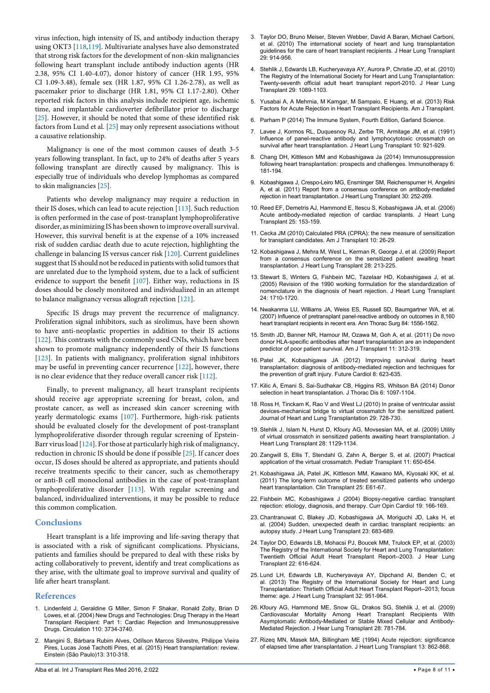virus infection, high intensity of IS, and antibody induction therapy using OKT3 [[118,](#page-9-43)[119\]](#page-9-44). Multivariate analyses have also demonstrated that strong risk factors for the development of non-skin malignancies following heart transplant include antibody induction agents (HR 2.38, 95% CI 1.40-4.07), donor history of cancer (HR 1.95, 95% CI 1.09-3.48), female sex (HR 1.87, 95% CI 1.26-2.78), as well as pacemaker prior to discharge (HR 1.81, 95% CI 1.17-2.80). Other reported risk factors in this analysis include recipient age, ischemic time, and implantable cardioverter defibrillator prior to discharge [[25](#page-7-26)]. However, it should be noted that some of these identified risk factors from Lund et al. [\[25\]](#page-7-26) may only represent associations without a causative relationship.

Malignancy is one of the most common causes of death 3-5 years following transplant. In fact, up to 24% of deaths after 5 years following transplant are directly caused by malignancy. This is especially true of individuals who develop lymphomas as compared to skin malignancies [[25](#page-7-26)].

Patients who develop malignancy may require a reduction in their IS doses, which can lead to acute rejection [[113\]](#page-9-36). Such reduction is often performed in the case of post-transplant lymphoproliferative disorder, as minimizing IS has been shown to improve overall survival. However, this survival benefit is at the expense of a 10% increased risk of sudden cardiac death due to acute rejection, highlighting the challenge in balancing IS versus cancer risk [[120\]](#page-9-45). Current guidelines suggest that IS should not be reduced in patients with solid tumors that are unrelated due to the lymphoid system, due to a lack of sufficient evidence to support the benefit [[107\]](#page-9-27). Either way, reductions in IS doses should be closely monitored and individualized in an attempt to balance malignancy versus allograft rejection [[121\]](#page-9-46).

Specific IS drugs may prevent the recurrence of malignancy. Proliferation signal inhibitors, such as sirolimus, have been shown to have anti-neoplastic properties in addition to their IS actions [[122\]](#page-9-47). This contrasts with the commonly used CNIs, which have been shown to promote malignancy independently of their IS functions [[123\]](#page-9-48). In patients with malignancy, proliferation signal inhibitors may be useful in preventing cancer recurrence [\[122](#page-9-47)], however, there is no clear evidence that they reduce overall cancer risk [[112\]](#page-9-35).

Finally, to prevent malignancy, all heart transplant recipients should receive age appropriate screening for breast, colon, and prostate cancer, as well as increased skin cancer screening with yearly dermatologic exams [[107\]](#page-9-27). Furthermore, high-risk patients should be evaluated closely for the development of post-transplant lymphoproliferative disorder through regular screening of Epstein-Barr virus load [\[124](#page-9-49)]. For those at particularly high risk of malignancy, reduction in chronic IS should be done if possible [\[25\]](#page-7-26). If cancer does occur, IS doses should be altered as appropriate, and patients should receive treatments specific to their cancer, such as chemotherapy or anti-B cell monoclonal antibodies in the case of post-transplant lymphoproliferative disorder [[113\]](#page-9-36). With regular screening and balanced, individualized interventions, it may be possible to reduce this common complication.

#### **Conclusions**

Heart transplant is a life improving and life-saving therapy that is associated with a risk of significant complications. Physicians, patients and families should be prepared to deal with these risks by acting collaboratively to prevent, identify and treat complications as they arise, with the ultimate goal to improve survival and quality of life after heart transplant.

#### **References**

- <span id="page-7-0"></span>1. [Lindenfeld J, Geraldine G Miller, Simon F Shakar, Ronald Zolty, Brian D](http://circ.ahajournals.org/content/110/24/3734)  [Lowes, et al. \(2004\) New Drugs and Technologies: Drug Therapy in the Heart](http://circ.ahajournals.org/content/110/24/3734)  [Transplant Recipient: Part 1: Cardiac Rejection and Immunosuppressive](http://circ.ahajournals.org/content/110/24/3734)  [Drugs. Circulation 110: 3734-3740.](http://circ.ahajournals.org/content/110/24/3734)
- <span id="page-7-1"></span>2. [Mangini S, Bárbara Rubim Alves, Odílson Marcos Silvestre, Philippe Vieira](http://www.scielo.br/scielo.php?script=sci_arttext&pid=S1679-45082015000200025)  [Pires, Lucas José Tachotti Pires, et al. \(2015\) Heart transplantation: review.](http://www.scielo.br/scielo.php?script=sci_arttext&pid=S1679-45082015000200025)  [Einstein \(São Paulo\)13: 310-318.](http://www.scielo.br/scielo.php?script=sci_arttext&pid=S1679-45082015000200025)
- <span id="page-7-2"></span>3. [Taylor DO, Bruno Meiser, Steven Webber, David A Baran, Michael Carboni,](http://www.allomap.com/wp-content/uploads/2015/12/Guidelines.pdf)  [et al. \(2010\) The international society of heart and lung transplantation](http://www.allomap.com/wp-content/uploads/2015/12/Guidelines.pdf)  [guidelines for the care of heart transplant recipients. J Hear Lung Transplant](http://www.allomap.com/wp-content/uploads/2015/12/Guidelines.pdf)  [29: 914-956.](http://www.allomap.com/wp-content/uploads/2015/12/Guidelines.pdf)
- <span id="page-7-3"></span>4. [Stehlik J, Edwards LB, Kucheryavaya AY, Aurora P, Christie JD, et al. \(2010\)](http://www.ncbi.nlm.nih.gov/pubmed/20870164)  [The Registry of the International Society for Heart and Lung Transplantation:](http://www.ncbi.nlm.nih.gov/pubmed/20870164)  [Twenty-seventh official adult heart transplant report-2010. J Hear Lung](http://www.ncbi.nlm.nih.gov/pubmed/20870164)  [Transplant 29: 1089-1103.](http://www.ncbi.nlm.nih.gov/pubmed/20870164)
- <span id="page-7-10"></span>5. [Yusabai A, A Mehrnia, M Kamgar, M Sampaio, E Huang, et al. \(2013\) Risk](http://www.atcmeetingabstracts.com/abstract/risk-factors-for-acute-rejection-in-heart-transplanted-recipients/)  [Factors for Acute Rejection in Heart Transplant Recipients. Am J Transplant.](http://www.atcmeetingabstracts.com/abstract/risk-factors-for-acute-rejection-in-heart-transplanted-recipients/)
- <span id="page-7-11"></span>6. [Parham P \(2014\) The Immune System, Fourth Edition, Garland Science.](http://www.garlandscience.com/product/isbn/9780815345275)
- <span id="page-7-12"></span>7. [Lavee J, Kormos RL, Duquesnoy RJ, Zerbe TR, Armitage JM, et al. \(1991\)](http://www.ncbi.nlm.nih.gov/pubmed/1756157)  [Influence of panel-reactive antibody and lymphocytotoxic crossmatch on](http://www.ncbi.nlm.nih.gov/pubmed/1756157)  [survival after heart transplantation. J Heart Lung Transplant 10: 921-929.](http://www.ncbi.nlm.nih.gov/pubmed/1756157)
- <span id="page-7-7"></span>8. [Chang DH, Kittleson MM and Kobashigawa Ja \(2014\) Immunosuppression](http://www.ncbi.nlm.nih.gov/pubmed/24491091)  [following heart transplantation: prospects and challenges. Immunotherapy 6:](http://www.ncbi.nlm.nih.gov/pubmed/24491091)  [181-194.](http://www.ncbi.nlm.nih.gov/pubmed/24491091)
- <span id="page-7-4"></span>9. [Kobashigawa J, Crespo-Leiro MG, Ensminger SM, Reichenspurner H, Angelini](http://www.ncbi.nlm.nih.gov/pubmed/21300295)  [A, et al. \(2011\) Report from a consensus conference on antibody-mediated](http://www.ncbi.nlm.nih.gov/pubmed/21300295)  [rejection in heart transplantation. J Heart Lung Transplant 30: 252-269.](http://www.ncbi.nlm.nih.gov/pubmed/21300295)
- <span id="page-7-5"></span>10. [Reed EF, Demetris AJ, Hammond E, Itescu S, Kobashigawa JA, et al. \(2006\)](http://www.ncbi.nlm.nih.gov/pubmed/16446213)  [Acute antibody-mediated rejection of cardiac transplants. J Heart Lung](http://www.ncbi.nlm.nih.gov/pubmed/16446213)  [Transplant 25: 153-159.](http://www.ncbi.nlm.nih.gov/pubmed/16446213)
- <span id="page-7-6"></span>11. [Cecka JM \(2010\) Calculated PRA \(CPRA\): the new measure of sensitization](http://www.ncbi.nlm.nih.gov/pubmed/19958328)  [for transplant candidates. Am J Transplant 10: 26-29.](http://www.ncbi.nlm.nih.gov/pubmed/19958328)
- <span id="page-7-8"></span>12. [Kobashigawa J, Mehra M, West L, Kerman R, George J, et al. \(2009\) Report](http://www.ncbi.nlm.nih.gov/pubmed/19285611)  [from a consensus conference on the sensitized patient awaiting heart](http://www.ncbi.nlm.nih.gov/pubmed/19285611)  [transplantation. J Heart Lung Transplant 28: 213-225.](http://www.ncbi.nlm.nih.gov/pubmed/19285611)
- <span id="page-7-9"></span>13. [Stewart S, Winters G, Fishbein MC, Tazelaar HD, Kobashigawa J, et al.](http://www.ncbi.nlm.nih.gov/pubmed/16297770)  [\(2005\) Revision of the 1990 working formulation for the standardization of](http://www.ncbi.nlm.nih.gov/pubmed/16297770)  [nomenclature in the diagnosis of heart rejection. J Heart Lung Transplant](http://www.ncbi.nlm.nih.gov/pubmed/16297770)  [24: 1710-1720.](http://www.ncbi.nlm.nih.gov/pubmed/16297770)
- <span id="page-7-15"></span>14. [Nwakanma LU, Williams JA, Weiss ES, Russell SD, Baumgartner WA, et al.](http://www.ncbi.nlm.nih.gov/pubmed/17954062)  [\(2007\) Influence of pretransplant panel-reactive antibody on outcomes in 8,160](http://www.ncbi.nlm.nih.gov/pubmed/17954062)  [heart transplant recipients in recent era. Ann Thorac Surg 84: 1556-1562.](http://www.ncbi.nlm.nih.gov/pubmed/17954062)
- <span id="page-7-16"></span>15. [Smith JD, Banner NR, Hamour IM, Ozawa M, Goh A, et al. \(2011\) De novo](http://www.ncbi.nlm.nih.gov/pubmed/21219570)  [donor HLA-specific antibodies after heart transplantation are an independent](http://www.ncbi.nlm.nih.gov/pubmed/21219570)  [predictor of poor patient survival. Am J Transplant 11: 312-319.](http://www.ncbi.nlm.nih.gov/pubmed/21219570)
- <span id="page-7-17"></span>16. [Patel JK, Kobashigawa JA \(2012\) Improving survival during heart](http://www.ncbi.nlm.nih.gov/pubmed/22871199)  [transplantation: diagnosis of antibody-mediated rejection and techniques for](http://www.ncbi.nlm.nih.gov/pubmed/22871199)  [the prevention of graft injury. Future Cardiol 8: 623-635.](http://www.ncbi.nlm.nih.gov/pubmed/22871199)
- <span id="page-7-18"></span>17. [Kilic A, Emani S, Sai-Sudhakar CB, Higgins RS, Whitson BA \(2014\) Donor](http://www.ncbi.nlm.nih.gov/pmc/articles/PMC4133543/)  [selection in heart transplantation. J Thorac Dis 6: 1097-1104.](http://www.ncbi.nlm.nih.gov/pmc/articles/PMC4133543/)
- <span id="page-7-19"></span>18. [Ross H, Tinckam K, Rao V and West LJ \(2010\) In praise of ventricular assist](http://www.ncbi.nlm.nih.gov/pubmed/20363155)  [devices-mechanical bridge to virtual crossmatch for the sensitized patient.](http://www.ncbi.nlm.nih.gov/pubmed/20363155)  [Journal of Heart and Lung Transplantation 29: 728-730.](http://www.ncbi.nlm.nih.gov/pubmed/20363155)
- <span id="page-7-20"></span>19. [Stehlik J, Islam N, Hurst D, Kfoury AG, Movsesian MA, et al. \(2009\) Utility](http://www.ncbi.nlm.nih.gov/pubmed/19782589)  [of virtual crossmatch in sensitized patients awaiting heart transplantation. J](http://www.ncbi.nlm.nih.gov/pubmed/19782589)  [Heart Lung Transplant 28: 1129-1134.](http://www.ncbi.nlm.nih.gov/pubmed/19782589)
- <span id="page-7-21"></span>20. [Zangwill S, Ellis T, Stendahl G, Zahn A, Berger S, et al. \(2007\) Practical](http://www.ncbi.nlm.nih.gov/pubmed/17663689)  [application of the virtual crossmatch. Pediatr Transplant 11: 650-654.](http://www.ncbi.nlm.nih.gov/pubmed/17663689)
- <span id="page-7-22"></span>21. [Kobashigawa JA, Patel JK, Kittleson MM, Kawano MA, Kiyosaki KK, et al.](http://www.ncbi.nlm.nih.gov/pubmed/20973825)  [\(2011\) The long-term outcome of treated sensitized patients who undergo](http://www.ncbi.nlm.nih.gov/pubmed/20973825)  [heart transplantation. Clin Transplant 25: E61-67.](http://www.ncbi.nlm.nih.gov/pubmed/20973825)
- <span id="page-7-23"></span>22. [Fishbein MC, Kobashigawa J \(2004\) Biopsy-negative cardiac transplant](http://www.ncbi.nlm.nih.gov/pubmed/15075746)  [rejection: etiology, diagnosis, and therapy. Curr Opin Cardiol 19: 166-169.](http://www.ncbi.nlm.nih.gov/pubmed/15075746)
- <span id="page-7-24"></span>23. [Chantranuwat C, Blakey JD, Kobashigawa JA, Moriguchi JD, Laks H, et](http://www.ncbi.nlm.nih.gov/pubmed/15366427)  [al. \(2004\) Sudden, unexpected death in cardiac transplant recipients: an](http://www.ncbi.nlm.nih.gov/pubmed/15366427)  [autopsy study. J Heart Lung Transplant 23: 683-689.](http://www.ncbi.nlm.nih.gov/pubmed/15366427)
- <span id="page-7-25"></span>24. [Taylor DO, Edwards LB, Mohacsi PJ, Boucek MM, Trulock EP, et al. \(2003\)](http://www.ncbi.nlm.nih.gov/pubmed/12821159)  [The Registry of the International Society for Heart and Lung Transplantation:](http://www.ncbi.nlm.nih.gov/pubmed/12821159)  [Twentieth Official Adult Heart Transplant Report--2003. J Hear Lung](http://www.ncbi.nlm.nih.gov/pubmed/12821159)  [Transplant 22: 616-624.](http://www.ncbi.nlm.nih.gov/pubmed/12821159)
- <span id="page-7-26"></span>25. [Lund LH, Edwards LB, Kucheryavaya AY, Dipchand AI, Benden C, et](http://www.ncbi.nlm.nih.gov/pubmed/24054804)  [al. \(2013\) The Registry of the International Society for Heart and Lung](http://www.ncbi.nlm.nih.gov/pubmed/24054804)  [Transplantation: Thirtieth Official Adult Heart Transplant Report--2013; focus](http://www.ncbi.nlm.nih.gov/pubmed/24054804)  [theme: age. J Heart Lung Transplant 32: 951-964.](http://www.ncbi.nlm.nih.gov/pubmed/24054804)
- <span id="page-7-13"></span>26. [Kfoury AG, Hammond ME, Snow GL, Drakos SG, Stehlik J, et al. \(2009\)](http://www.ncbi.nlm.nih.gov/pubmed/19632573)  [Cardiovascular Mortality Among Heart Transplant Recipients With](http://www.ncbi.nlm.nih.gov/pubmed/19632573)  [Asymptomatic Antibody-Mediated or Stable Mixed Cellular and Antibody-](http://www.ncbi.nlm.nih.gov/pubmed/19632573)[Mediated Rejection. J Hear Lung Transplant 28: 781-784.](http://www.ncbi.nlm.nih.gov/pubmed/19632573)
- <span id="page-7-14"></span>27. [Rizeq MN, Masek MA, Billingham ME](http://www.ncbi.nlm.nih.gov/pubmed/7803428) (1994) Acute rejection: significance [of elapsed time after transplantation. J Heart Lung Transplant 13: 862-868.](http://www.ncbi.nlm.nih.gov/pubmed/7803428)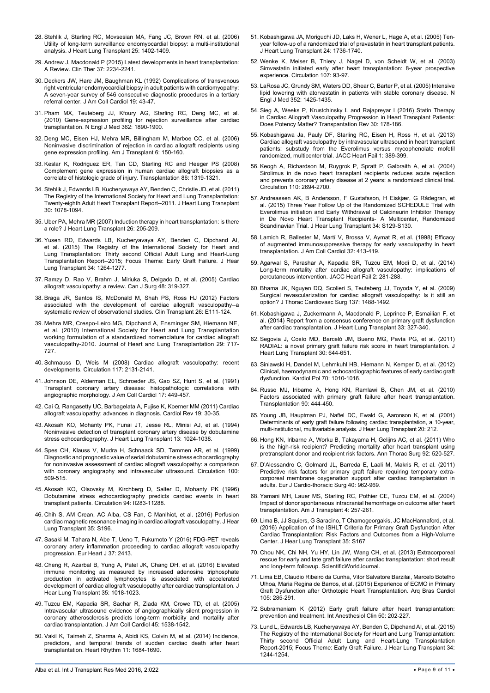- <span id="page-8-1"></span>28. [Stehlik J, Starling RC, Movsesian MA, Fang JC, Brown RN, et al. \(2006\)](http://www.ncbi.nlm.nih.gov/pubmed/17178332)  [Utility of long-term surveillance endomyocardial biopsy: a multi-institutional](http://www.ncbi.nlm.nih.gov/pubmed/17178332)  [analysis. J Heart Lung Transplant 25: 1402-1409.](http://www.ncbi.nlm.nih.gov/pubmed/17178332)
- <span id="page-8-2"></span>29. [Andrew J, Macdonald P \(2015\) Latest developments in heart transplantation:](http://www.sciencedirect.com/science/article/pii/S0149291815010826)  [A Review. Clin Ther 37: 2234-2241.](http://www.sciencedirect.com/science/article/pii/S0149291815010826)
- <span id="page-8-3"></span>30. Deckers JW, [Hare JM, Baughman KL \(1992\) Complications of transvenous](http://www.ncbi.nlm.nih.gov/pubmed/1729344)  [right ventricular endomyocardial biopsy in adult patients with cardiomyopathy:](http://www.ncbi.nlm.nih.gov/pubmed/1729344)  [A seven-year survey of 546 consecutive diagnostic procedures in a tertiary](http://www.ncbi.nlm.nih.gov/pubmed/1729344)  [referral center. J Am Coll Cardiol 19: 43-47.](http://www.ncbi.nlm.nih.gov/pubmed/1729344)
- <span id="page-8-4"></span>31. [Pham MX, Teuteberg JJ, Kfoury AG, Starling RC, Deng MC, et al.](https://www.ncbi.nlm.nih.gov/pubmed/20413602)  [\(2010\) Gene-expression profiling for rejection surveillance after cardiac](https://www.ncbi.nlm.nih.gov/pubmed/20413602)  [transplantation. N Engl J Med 362: 1890-1900.](https://www.ncbi.nlm.nih.gov/pubmed/20413602)
- 32. [Deng MC, Eisen HJ, Mehra MR, Billingham M, Marboe CC, et al. \(2006\)](http://www.ncbi.nlm.nih.gov/pubmed/16433769)  [Noninvasive discrimination of rejection in cardiac allograft recipients using](http://www.ncbi.nlm.nih.gov/pubmed/16433769)  [gene expression profiling. Am J Transplant 6: 150-160.](http://www.ncbi.nlm.nih.gov/pubmed/16433769)
- <span id="page-8-5"></span>33. [Keslar K, Rodriguez ER, Tan CD, Starling RC and Heeger PS \(2008\)](http://www.ncbi.nlm.nih.gov/pubmed/19005416)  [Complement gene expression in human cardiac allograft biopsies as a](http://www.ncbi.nlm.nih.gov/pubmed/19005416)  [correlate of histologic grade of injury. Transplantation 86: 1319-1321.](http://www.ncbi.nlm.nih.gov/pubmed/19005416)
- <span id="page-8-6"></span>34. [Stehlik J, Edwards LB, Kucheryavaya AY, Benden C, Christie JD, et al. \(2011\)](http://www.ncbi.nlm.nih.gov/pubmed/21962016)  [The Registry of the International Society for Heart and Lung Transplantation:](http://www.ncbi.nlm.nih.gov/pubmed/21962016)  [Twenty-eighth Adult Heart Transplant Report--2011. J Heart Lung Transplant](http://www.ncbi.nlm.nih.gov/pubmed/21962016)  [30: 1078-1094.](http://www.ncbi.nlm.nih.gov/pubmed/21962016)
- <span id="page-8-7"></span>35. [Uber PA, Mehra MR \(2007\) Induction therapy in heart transplantation: is there](http://www.ncbi.nlm.nih.gov/pubmed/17346621)  [a role? J Heart Lung Transplant 26: 205-209.](http://www.ncbi.nlm.nih.gov/pubmed/17346621)
- <span id="page-8-8"></span>36. [Yusen RD, Edwards LB, Kucheryavaya AY, Benden C, Dipchand AI,](http://www.ncbi.nlm.nih.gov/pubmed/26454740)  [et al. \(2015\) The Registry of the International Society for Heart and](http://www.ncbi.nlm.nih.gov/pubmed/26454740)  [Lung Transplantation: Thirty second Official Adult Lung and Heart-Lung](http://www.ncbi.nlm.nih.gov/pubmed/26454740)  [Transplantation Report--2015; Focus Theme: Early Graft Failure. J Hear](http://www.ncbi.nlm.nih.gov/pubmed/26454740)  [Lung Transplant 34: 1264-1277.](http://www.ncbi.nlm.nih.gov/pubmed/26454740)
- <span id="page-8-9"></span>37. [Ramzy D, Rao V, Brahm J, Miriuka S, Delgado D, et al. \(2005\) Cardiac](http://www.ncbi.nlm.nih.gov/pmc/articles/PMC3211528/)  [allograft vasculopathy: a review. Can J Surg 48: 319-327.](http://www.ncbi.nlm.nih.gov/pmc/articles/PMC3211528/)
- <span id="page-8-10"></span>38. [Braga JR, Santos IS, McDonald M, Shah PS, Ross HJ \(2012\) Factors](http://www.ncbi.nlm.nih.gov/pubmed/22168269)  [associated with the development of cardiac allograft vasculopathy--a](http://www.ncbi.nlm.nih.gov/pubmed/22168269)  [systematic review of observational studies. Clin Transplant 26: E111-124.](http://www.ncbi.nlm.nih.gov/pubmed/22168269)
- <span id="page-8-11"></span>39. [Mehra MR, Crespo-Leiro MG, Dipchand A, Ensminger SM, Hiemann NE,](http://www.ncbi.nlm.nih.gov/pubmed/20620917)  [et al. \(2010\) International Society for Heart and Lung Transplantation](http://www.ncbi.nlm.nih.gov/pubmed/20620917)  [working formulation of a standardized nomenclature for cardiac allograft](http://www.ncbi.nlm.nih.gov/pubmed/20620917)  [vasculopathy-2010. Journal of Heart and Lung Transplantation 29: 717-](http://www.ncbi.nlm.nih.gov/pubmed/20620917) [727.](http://www.ncbi.nlm.nih.gov/pubmed/20620917)
- <span id="page-8-23"></span>40. [Schmauss D, Weis M \(2008\) Cardiac allograft vasculopathy: recent](http://www.ncbi.nlm.nih.gov/pubmed/18427143)  [developments. Circulation 117: 2131-2141.](http://www.ncbi.nlm.nih.gov/pubmed/18427143)
- <span id="page-8-24"></span>41. [Johnson DE, Alderman EL, Schroeder JS, Gao SZ, Hunt S, et al. \(1991\)](http://www.ncbi.nlm.nih.gov/pubmed/1991903)  [Transplant coronary artery disease: histopathologic correlations with](http://www.ncbi.nlm.nih.gov/pubmed/1991903)  [angiographic morphology. J Am Coll Cardiol 17: 449-457.](http://www.ncbi.nlm.nih.gov/pubmed/1991903)
- <span id="page-8-25"></span>42. [Cai Q, Rangasetty UC, Barbagelata A, Fujise K, Koerner MM \(2011\) Cardiac](http://www.ncbi.nlm.nih.gov/pubmed/21135600)  [allograft vasculopathy: advances in diagnosis. Cardiol Rev 19: 30-35.](http://www.ncbi.nlm.nih.gov/pubmed/21135600)
- <span id="page-8-26"></span>43. [Akosah KO, Mohanty PK, Funai JT, Jesse RL, Minisi AJ, et al. \(1994\)](http://www.ncbi.nlm.nih.gov/pubmed/7865509)  [Noninvasive detection of transplant coronary artery disease by dobutamine](http://www.ncbi.nlm.nih.gov/pubmed/7865509)  [stress echocardiography. J Heart Lung Transplant 13: 1024-1038.](http://www.ncbi.nlm.nih.gov/pubmed/7865509)
- <span id="page-8-27"></span>44. [Spes CH, Klauss V, Mudra H, Schnaack SD, Tammen AR, et al. \(1999\)](http://www.ncbi.nlm.nih.gov/pubmed/10430765)  [Diagnostic and prognostic value of serial dobutamine stress echocardiography](http://www.ncbi.nlm.nih.gov/pubmed/10430765)  [for noninvasive assessment of cardiac allograft vasculopathy: a comparison](http://www.ncbi.nlm.nih.gov/pubmed/10430765)  [with coronary angiography and intravascular ultrasound. Circulation 100:](http://www.ncbi.nlm.nih.gov/pubmed/10430765)  509-515.
- <span id="page-8-28"></span>45. [Akosah KO, Olsovsky M, Kirchberg D, Salter D, Mohanty PK \(1996\)](http://www.ncbi.nlm.nih.gov/pubmed/8901761)  [Dobutamine stress echocardiography predicts cardiac events in heart](http://www.ncbi.nlm.nih.gov/pubmed/8901761)  [transplant patients. Circulation 94:](http://www.ncbi.nlm.nih.gov/pubmed/8901761) II283-11288.
- <span id="page-8-29"></span>46. [Chih S, AM Crean, AC Alba, CS Fan, C Manlhiot, et al. \(2016\) Perfusion](http://www.jhltonline.org/article/S1053-2498(16)00598-2/abstract)  [cardiac magnetic resonance imaging in cardiac allograft vasculopathy. J Hear](http://www.jhltonline.org/article/S1053-2498(16)00598-2/abstract)  [Lung Transplant 35: S196.](http://www.jhltonline.org/article/S1053-2498(16)00598-2/abstract)
- <span id="page-8-30"></span>47. [Sasaki M, Tahara N, Abe T, Ueno T, Fukumoto Y \(2016\) FDG-PET reveals](http://www.ncbi.nlm.nih.gov/pubmed/26984859)  [coronary artery inflammation proceeding to cardiac allograft vasculopathy](http://www.ncbi.nlm.nih.gov/pubmed/26984859)  [progression. Eur Heart J 37: 2413.](http://www.ncbi.nlm.nih.gov/pubmed/26984859)
- <span id="page-8-31"></span>48. [Cheng R, Azarbal B, Yung A, Patel JK, Chang DH, et al. \(2016\) Elevated](http://www.ncbi.nlm.nih.gov/pubmed/27138702)  [immune monitoring as measured by increased adenosine triphosphate](http://www.ncbi.nlm.nih.gov/pubmed/27138702)  [production in activated lymphocytes is associated with accelerated](http://www.ncbi.nlm.nih.gov/pubmed/27138702)  [development of cardiac allograft vasculopathy after cardiac transplantation. J](http://www.ncbi.nlm.nih.gov/pubmed/27138702)  [Hear Lung Transplant 35: 1018-1023.](http://www.ncbi.nlm.nih.gov/pubmed/27138702)
- <span id="page-8-32"></span>49. [Tuzcu EM, Kapadia SR, Sachar R, Ziada KM, Crowe TD, et al. \(2005\)](http://www.ncbi.nlm.nih.gov/pubmed/15862431)  [Intravascular ultrasound evidence of angiographically silent progression in](http://www.ncbi.nlm.nih.gov/pubmed/15862431)  [coronary atherosclerosis predicts long-term morbidity and mortality after](http://www.ncbi.nlm.nih.gov/pubmed/15862431)  [cardiac transplantation. J Am Coll Cardiol 45: 1538-1542.](http://www.ncbi.nlm.nih.gov/pubmed/15862431)
- <span id="page-8-33"></span>50. [Vakil K, Taimeh Z, Sharma A, Abidi KS, Colvin M, et al. \(2014\) Incidence,](http://www.ncbi.nlm.nih.gov/pubmed/25048441)  [predictors, and temporal trends of sudden cardiac death after heart](http://www.ncbi.nlm.nih.gov/pubmed/25048441)  [transplantation. Heart Rhythm 11: 1684-1690.](http://www.ncbi.nlm.nih.gov/pubmed/25048441)
- <span id="page-8-34"></span>51. [Kobashigawa JA, Moriguchi JD, Laks H, Wener L, Hage A, et al. \(2005\) Ten](http://www.ncbi.nlm.nih.gov/pubmed/16297773)[year follow-up of a randomized trial of pravastatin in heart transplant patients.](http://www.ncbi.nlm.nih.gov/pubmed/16297773)  [J Heart Lung Transplant 24: 1736-1740.](http://www.ncbi.nlm.nih.gov/pubmed/16297773)
- <span id="page-8-35"></span>52. [Wenke K, Meiser B, Thiery J, Nagel D, von Scheidt W, et al. \(2003\)](http://www.ncbi.nlm.nih.gov/pubmed/12515749)  [Simvastatin initiated early after heart transplantation: 8-year prospective](http://www.ncbi.nlm.nih.gov/pubmed/12515749)  [experience. Circulation 107: 93-97.](http://www.ncbi.nlm.nih.gov/pubmed/12515749)
- <span id="page-8-36"></span>53. [LaRosa JC, Grundy SM, Waters DD, Shear C, Barter P, et al. \(2005\) Intensive](http://www.ncbi.nlm.nih.gov/pubmed/15755765)  [lipid lowering with atorvastatin in patients with stable coronary disease. N](http://www.ncbi.nlm.nih.gov/pubmed/15755765)  [Engl J Med 352: 1425-1435.](http://www.ncbi.nlm.nih.gov/pubmed/15755765)
- <span id="page-8-37"></span>54. [Sieg A, Weeks P, Krustchinsky L and Rajapreyar I \(2016\) Statin Therapy](http://www.ncbi.nlm.nih.gov/pubmed/27079752)  [in Cardiac Allograft Vasculopathy Progression in Heart Transplant Patients:](http://www.ncbi.nlm.nih.gov/pubmed/27079752)  [Does Potency Matter? Transpantation Rev 30: 178-186.](http://www.ncbi.nlm.nih.gov/pubmed/27079752)
- <span id="page-8-38"></span>55. [Kobashigawa Ja, Pauly DF, Starling RC, Eisen H, Ross H, et al. \(2013\)](http://www.ncbi.nlm.nih.gov/pubmed/24621971)  [Cardiac allograft vasculopathy by intravascular ultrasound in heart transplant](http://www.ncbi.nlm.nih.gov/pubmed/24621971)  [patients: substudy from the Everolimus versus mycophenolate mofetil](http://www.ncbi.nlm.nih.gov/pubmed/24621971)  [randomized, multicenter trial. JACC Heart Fail 1:](http://www.ncbi.nlm.nih.gov/pubmed/24621971) 389-399.
- <span id="page-8-39"></span>56. [Keogh A, Richardson M, Ruygrok P, Spratt P, Galbraith A, et al. \(2004\)](http://www.ncbi.nlm.nih.gov/pubmed/15262845)  [Sirolimus in de novo heart transplant recipients reduces acute rejection](http://www.ncbi.nlm.nih.gov/pubmed/15262845)  [and prevents coronary artery disease at 2 years: a randomized clinical trial.](http://www.ncbi.nlm.nih.gov/pubmed/15262845)  [Circulation 110: 2694-2700.](http://www.ncbi.nlm.nih.gov/pubmed/15262845)
- <span id="page-8-40"></span>57. [Andreassen AK, B Andersson, F Gustafsson, H Eiskjær, G Rådegran, et](http://www.jhltonline.org/article/S1053-2498(15)00373-3/abstract)  [al. \(2015\) Three Year Follow Up of the Randomized SCHEDULE Trial with](http://www.jhltonline.org/article/S1053-2498(15)00373-3/abstract)  [Everolimus initiation and Early Withdrawal of Calcineurin Inhibitor Therapy](http://www.jhltonline.org/article/S1053-2498(15)00373-3/abstract)  [in De Novo Heart Transplant Recipients- A Multicenter, Randomized](http://www.jhltonline.org/article/S1053-2498(15)00373-3/abstract)  [Scandinavian Trial. J Hear Lung Transplant 34: S129-S130.](http://www.jhltonline.org/article/S1053-2498(15)00373-3/abstract)
- <span id="page-8-41"></span>58. [Lamich R, Ballester M, Martí V, Brossa V, Aymat R, et al. \(1998\) Efficacy](http://www.ncbi.nlm.nih.gov/pubmed/9708469)  [of augmented immunosuppressive therapy for early vasculopathy in heart](http://www.ncbi.nlm.nih.gov/pubmed/9708469)  [transplantation. J Am Coll Cardiol 32: 413-419.](http://www.ncbi.nlm.nih.gov/pubmed/9708469)
- <span id="page-8-12"></span>59. [Agarwal S, Parashar A, Kapadia SR, Tuzcu EM, Modi D, et al. \(2014\)](http://www.ncbi.nlm.nih.gov/pubmed/24952696)  [Long-term mortality after cardiac allograft vasculopathy: implications of](http://www.ncbi.nlm.nih.gov/pubmed/24952696)  [percutaneous intervention. JACC Heart Fail 2: 281-288.](http://www.ncbi.nlm.nih.gov/pubmed/24952696)
- <span id="page-8-13"></span>60. [Bhama JK, Nguyen DQ, Scolieri S, Teuteberg JJ, Toyoda Y, et al. \(2009\)](http://www.ncbi.nlm.nih.gov/pubmed/19464469)  [Surgical revascularization for cardiac allograft vasculopathy: Is it still an](http://www.ncbi.nlm.nih.gov/pubmed/19464469)  [option? J Thorac Cardiovasc Surg 137: 1488-1492.](http://www.ncbi.nlm.nih.gov/pubmed/19464469)
- <span id="page-8-14"></span>61. [Kobashigawa J, Zuckermann A, Macdonald P, Leprince P, Esmailian F, et](http://www.ncbi.nlm.nih.gov/pubmed/24661451)  [al. \(2014\) Report from a consensus conference on primary graft dysfunction](http://www.ncbi.nlm.nih.gov/pubmed/24661451)  [after cardiac transplantation. J Heart Lung Transplant 33: 327-340.](http://www.ncbi.nlm.nih.gov/pubmed/24661451)
- <span id="page-8-16"></span>62. [Segovia J, Cosío MD, Barceló JM, Bueno MG, Pavía PG, et al. \(2011\)](http://www.ncbi.nlm.nih.gov/pubmed/21470878)  RADIAL: a novel primary graft failure risk score in heart transplantation. J [Heart Lung Transplant 30: 644-651.](http://www.ncbi.nlm.nih.gov/pubmed/21470878)
- <span id="page-8-15"></span>63. [Siniawski H, Dandel M, Lehmkuhl HB, Hiemann N, Kemper D, et al. \(2012\)](http://www.ncbi.nlm.nih.gov/pubmed/23080091)  [Clinical, haemodynamic and echocardiographic features of early cardiac graft](http://www.ncbi.nlm.nih.gov/pubmed/23080091)  [dysfunction. Kardiol Pol 70: 1010-1016.](http://www.ncbi.nlm.nih.gov/pubmed/23080091)
- <span id="page-8-17"></span>64. [Russo MJ, Iribarne A, Hong KN, Ramlawi B, Chen JM, et al. \(2010\)](http://www.ncbi.nlm.nih.gov/pubmed/20622755)  [Factors associated with primary graft failure after heart transplantation.](http://www.ncbi.nlm.nih.gov/pubmed/20622755)  [Transplantation 90: 444-450.](http://www.ncbi.nlm.nih.gov/pubmed/20622755)
- <span id="page-8-18"></span>65. [Young JB, Hauptman PJ, Naftel DC, Ewald G, Aaronson K, et al. \(2001\)](http://www.ncbi.nlm.nih.gov/pubmed/11250387)  [Determinants of early graft failure following cardiac transplantation, a 10-year,](http://www.ncbi.nlm.nih.gov/pubmed/11250387)  [multi-institutional, multivariable analysis. J Hear Lung Transplant 20: 212.](http://www.ncbi.nlm.nih.gov/pubmed/11250387)
- <span id="page-8-19"></span>66. [Hong KN, Iribarne A, Worku B, Takayama H, Gelijns AC, et al. \(2011\) Who](http://www.ncbi.nlm.nih.gov/pubmed/21683337)  [is the high-risk recipient? Predicting mortality after heart transplant using](http://www.ncbi.nlm.nih.gov/pubmed/21683337)  [pretransplant donor and recipient risk factors. Ann Thorac Surg 92: 520-527.](http://www.ncbi.nlm.nih.gov/pubmed/21683337)
- <span id="page-8-20"></span>67. [D'Alessandro C, Golmard JL, Barreda E, Laali M, Makris R, et al. \(2011\)](http://www.ncbi.nlm.nih.gov/pubmed/21414795)  [Predictive risk factors for primary graft failure requiring temporary extra](http://www.ncbi.nlm.nih.gov/pubmed/21414795)[corporeal membrane oxygenation support after cardiac transplantation in](http://www.ncbi.nlm.nih.gov/pubmed/21414795)  [adults. Eur J Cardio-thoracic Surg 40: 962-969.](http://www.ncbi.nlm.nih.gov/pubmed/21414795)
- <span id="page-8-21"></span>68. [Yamani MH, Lauer MS, Starling RC, Pothier CE, Tuzcu EM, et al. \(2004\)](http://www.ncbi.nlm.nih.gov/pubmed/14974948)  [Impact of donor spontaneous intracranial hemorrhage on outcome after heart](http://www.ncbi.nlm.nih.gov/pubmed/14974948)  [transplantation. Am J Transplant 4: 257-261.](http://www.ncbi.nlm.nih.gov/pubmed/14974948)
- <span id="page-8-22"></span>69. [Lima B, JJ Squiers, G Saracino, T Chamogeorgakis, JC MacHannaford, et al.](http://www.jhltonline.org/article/S1053-2498(16)00513-1/abstract)  [\(2016\) Application of the ISHLT Criteria for Primary Graft Dysfunction After](http://www.jhltonline.org/article/S1053-2498(16)00513-1/abstract)  [Cardiac Transplantation: Risk Factors and Outcomes from a High-Volume](http://www.jhltonline.org/article/S1053-2498(16)00513-1/abstract)  [Center. J Hear Lung Transplant 35: S](http://www.jhltonline.org/article/S1053-2498(16)00513-1/abstract)167
- <span id="page-8-42"></span>70. [Chou NK, Chi NH, Yu HY, Lin JW, Wang CH, et al. \(2013\) Extracorporeal](http://www.ncbi.nlm.nih.gov/pubmed/24228000)  [rescue for early and late graft failure after cardiac transplantation: short result](http://www.ncbi.nlm.nih.gov/pubmed/24228000)  [and long-term followup. ScientificWorldJournal.](http://www.ncbi.nlm.nih.gov/pubmed/24228000)
- 71. [Lima EB, Claudio Ribeiro da Cunha, Vitor Salvatore Barzilai, Marcelo Botelho](http://www.ncbi.nlm.nih.gov/pmc/articles/PMC4592177/)  [Ulhoa, Maria Regina de Barros, et al. \(2015\) Experience of ECMO in Primary](http://www.ncbi.nlm.nih.gov/pmc/articles/PMC4592177/)  [Graft Dysfunction after Orthotopic Heart Transplantation. Arq Bras Cardiol](http://www.ncbi.nlm.nih.gov/pmc/articles/PMC4592177/)  [105: 285-291.](http://www.ncbi.nlm.nih.gov/pmc/articles/PMC4592177/)
- <span id="page-8-43"></span>72. [Subramaniam K \(2012\) Early graft failure after heart transplantation:](http://www.ncbi.nlm.nih.gov/pubmed/22735727)  [prevention and treatment. Int Anesthesiol Clin 50: 202-227.](http://www.ncbi.nlm.nih.gov/pubmed/22735727)
- <span id="page-8-0"></span>73. [Lund L, Edwards LB, Kucheryavaya AY, Benden C, Dipchand AI, et al. \(2015\)](http://www.ncbi.nlm.nih.gov/pubmed/26454738)  [The Registry of the International Society for Heart and Lung Transplantation:](http://www.ncbi.nlm.nih.gov/pubmed/26454738)  The Registry of the International Cooley Terms and Heart-Lung Transplantation [Report-2015; Focus Theme: Early Graft Failure. J Hear Lung Transplant 34:](http://www.ncbi.nlm.nih.gov/pubmed/26454738)  [1244-1254.](http://www.ncbi.nlm.nih.gov/pubmed/26454738)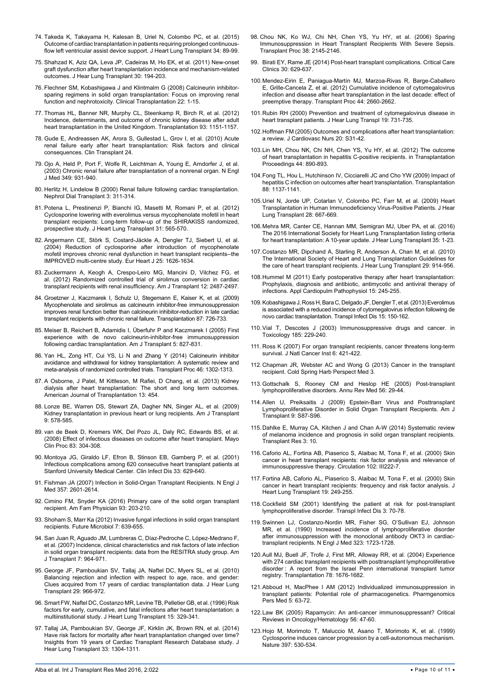- <span id="page-9-10"></span>74. [Takeda K, Takayama H, Kalesan B, Uriel N, Colombo PC, et al. \(2015\)](http://www.ncbi.nlm.nih.gov/pubmed/25444372)  [Outcome of cardiac transplantation in patients requiring prolonged continuous](http://www.ncbi.nlm.nih.gov/pubmed/25444372)[flow left ventricular assist device support. J Heart Lung Transplant 34: 89-99.](http://www.ncbi.nlm.nih.gov/pubmed/25444372)
- <span id="page-9-11"></span>75. [Shahzad K, Aziz QA, Leva JP, Cadeiras M, Ho EK, et al. \(2011\) New-onset](http://www.ncbi.nlm.nih.gov/pubmed/20952209)  [graft dysfunction after heart transplantation incidence and mechanism-related](http://www.ncbi.nlm.nih.gov/pubmed/20952209)  [outcomes. J Hear Lung Transplant 30: 194-203.](http://www.ncbi.nlm.nih.gov/pubmed/20952209)
- <span id="page-9-12"></span>76. [Flechner SM, Kobashigawa J and Klintmalm G \(2008\) Calcineurin inhibitor](http://www.ncbi.nlm.nih.gov/pubmed/18217899)[sparing regimens in solid organ transplantation: Focus on improving renal](http://www.ncbi.nlm.nih.gov/pubmed/18217899)  [function and nephrotoxicity. Clinical Transplantation 22: 1-15.](http://www.ncbi.nlm.nih.gov/pubmed/18217899)
- <span id="page-9-13"></span>77. [Thomas HL, Banner NR, Murphy CL, Steenkamp R, Birch R, et al. \(2012\)](http://www.ncbi.nlm.nih.gov/pubmed/22531494)  [Incidence, determinants, and outcome of chronic kidney disease after adult](http://www.ncbi.nlm.nih.gov/pubmed/22531494)  [heart transplantation in the United Kingdom. Transplantation 93: 1151-1157.](http://www.ncbi.nlm.nih.gov/pubmed/22531494)
- <span id="page-9-14"></span>78. [Gude E, Andreassen AK, Arora S, Gullestad L, Grov I, et al. \(2010\) Acute](http://www.ncbi.nlm.nih.gov/pubmed/20184627)  renal failure early after heart transplantation: Risk factors and clinical [consequences. Clin Transplant 24.](http://www.ncbi.nlm.nih.gov/pubmed/20184627)
- <span id="page-9-15"></span>79. [Ojo A, Held P, Port F, Wolfe R, Leichtman A, Young E, Arndorfer J, et al.](http://www.ncbi.nlm.nih.gov/pubmed/12954741)  [\(2003\) Chronic renal failure after transplantation of a nonrenal organ. N Engl](http://www.ncbi.nlm.nih.gov/pubmed/12954741)  [J Med 349: 931-940.](http://www.ncbi.nlm.nih.gov/pubmed/12954741)
- <span id="page-9-1"></span>80. [Herlitz H, Lindelow B \(2000\) Renal failure following cardiac transplantation.](http://www.ncbi.nlm.nih.gov/pubmed/10692514)  [Nephrol Dial Transplant 3: 311-314.](http://www.ncbi.nlm.nih.gov/pubmed/10692514)
- <span id="page-9-2"></span>81. [Potena L, Prestinenzi P, Bianchi IG, Masetti M, Romani P, et al. \(2012\)](http://www.ncbi.nlm.nih.gov/pubmed/22341702)  [Cyclosporine lowering with everolimus versus mycophenolate mofetil in heart](http://www.ncbi.nlm.nih.gov/pubmed/22341702)  [transplant recipients: Long-term follow-up of the SHIRAKISS randomized,](http://www.ncbi.nlm.nih.gov/pubmed/22341702)  [prospective study. J Heart Lung Transplant 31: 565-570.](http://www.ncbi.nlm.nih.gov/pubmed/22341702)
- <span id="page-9-3"></span>82. [Angermann CE, Störk S, Costard-Jäckle A, Dengler TJ, Siebert U, et al.](http://www.ncbi.nlm.nih.gov/pubmed/15351162)  [\(2004\) Reduction of cyclosporine after introduction of mycophenolate](http://www.ncbi.nlm.nih.gov/pubmed/15351162)  [mofetil improves chronic renal dysfunction in heart transplant recipients--the](http://www.ncbi.nlm.nih.gov/pubmed/15351162)  [IMPROVED multi-centre study. Eur Heart J 25: 1626-1634.](http://www.ncbi.nlm.nih.gov/pubmed/15351162)
- <span id="page-9-4"></span>83. [Zuckermann A, Keogh A, Crespo-Leiro MG, Mancini D, Vilchez FG, et](http://www.ncbi.nlm.nih.gov/pubmed/22776430)  [al. \(2012\) Randomized controlled trial of sirolimus conversion in cardiac](http://www.ncbi.nlm.nih.gov/pubmed/22776430)  [transplant recipients with renal insufficiency. Am J Transplant 12: 2487-2497.](http://www.ncbi.nlm.nih.gov/pubmed/22776430)
- <span id="page-9-5"></span>84. [Groetzner J, Kaczmarek I, Schulz U, Stegemann E, Kaiser K, et al. \(2009\)](http://www.ncbi.nlm.nih.gov/pubmed/19295318)  [Mycophenolate and sirolimus as calcineurin inhibitor-free immunosuppression](http://www.ncbi.nlm.nih.gov/pubmed/19295318)  [improves renal function better than calcineurin inhibitor-reduction in late cardiac](http://www.ncbi.nlm.nih.gov/pubmed/19295318)  [transplant recipients with chronic renal failure. Transplantation 87: 726-733.](http://www.ncbi.nlm.nih.gov/pubmed/19295318)
- <span id="page-9-6"></span>85. [Meiser B, Reichert B, Adamidis I, Überfuhr P and Kaczmarek I \(2005\) First](http://www.ncbi.nlm.nih.gov/pubmed/15760408)  [experience with de novo calcineurin-inhibitor-free immunosuppression](http://www.ncbi.nlm.nih.gov/pubmed/15760408)  [following cardiac transplantation. Am J Transplant 5: 827-831.](http://www.ncbi.nlm.nih.gov/pubmed/15760408)
- <span id="page-9-7"></span>86. [Yan HL, Zong HT, Cui YS, Li N and Zhang Y \(2014\) Calcineurin inhibitor](http://www.ncbi.nlm.nih.gov/pubmed/24935293)  [avoidance and withdrawal for kidney transplantation: A systematic review and](http://www.ncbi.nlm.nih.gov/pubmed/24935293)  [meta-analysis of randomized controlled trials. Transplant Proc 46: 1302-1313.](http://www.ncbi.nlm.nih.gov/pubmed/24935293)
- <span id="page-9-8"></span>87. [A Osborne, J Patel, M Kittleson, M Rafiei, D Chang, et al. \(2013\) Kidney](http://www.atcmeetingabstracts.com/abstract/kidney-dialysis-after-heart-transplantation-the-short-and-long-term-outcomes/)  [dialysis after heart transplantation: The short and long term outcomes.](http://www.atcmeetingabstracts.com/abstract/kidney-dialysis-after-heart-transplantation-the-short-and-long-term-outcomes/)  [American Journal of Transplantation 13: 454.](http://www.atcmeetingabstracts.com/abstract/kidney-dialysis-after-heart-transplantation-the-short-and-long-term-outcomes/)
- <span id="page-9-9"></span>88. [Lonze BE, Warren DS, Stewart ZA, Dagher NN, Singer AL, et al. \(2009\)](http://www.ncbi.nlm.nih.gov/pubmed/19260837)  [Kidney transplantation in previous heart or lung recipients. Am J Transplant](http://www.ncbi.nlm.nih.gov/pubmed/19260837)  [9: 578-585.](http://www.ncbi.nlm.nih.gov/pubmed/19260837)
- <span id="page-9-0"></span>89. [van de Beek D, Kremers WK, Del Pozo JL, Daly RC, Edwards BS, et al.](http://www.ncbi.nlm.nih.gov/pubmed/18315996)  [\(2008\) Effect of infectious diseases on outcome after heart transplant. Mayo](http://www.ncbi.nlm.nih.gov/pubmed/18315996)  [Clin Proc 83: 304-308.](http://www.ncbi.nlm.nih.gov/pubmed/18315996)
- <span id="page-9-28"></span>90. [Montoya JG, Giraldo LF, Efron B, Stinson EB, Gamberg P, et al. \(2001\)](http://www.ncbi.nlm.nih.gov/pubmed/11486285)  [Infectious complications among 620 consecutive heart transplant patients at](http://www.ncbi.nlm.nih.gov/pubmed/11486285)  [Stanford University Medical Center. Clin Infect Dis 33: 629-640.](http://www.ncbi.nlm.nih.gov/pubmed/11486285)
- <span id="page-9-22"></span>91. [Fishman JA \(2007\) Infection in Solid-Organ Transplant Recipients. N Engl J](http://www.ncbi.nlm.nih.gov/pubmed/18094380)  [Med 357: 2](http://www.ncbi.nlm.nih.gov/pubmed/18094380)601-2614.
- <span id="page-9-29"></span>92. [Cimino FM, Snyder KA \(2016\) Primary care of the solid organ transplant](http://www.aafp.org/afp/2016/0201/p203.html)  [recipient. Am Fam Physician 93: 203-210.](http://www.aafp.org/afp/2016/0201/p203.html)
- <span id="page-9-30"></span>93. [Shoham S, Marr Ka \(2012\) Invasive fungal infections in solid organ transplant](http://www.ncbi.nlm.nih.gov/pubmed/22568718)  [recipients. Future Microbiol 7: 639-655.](http://www.ncbi.nlm.nih.gov/pubmed/22568718)
- <span id="page-9-31"></span>94. [San Juan R, Aguado JM, Lumbreras C, Díaz-Pedroche C, López-Medrano F,](http://www.ncbi.nlm.nih.gov/pubmed/17391136)  [et al. \(2007\) Incidence, clinical characteristics and risk factors of late infection](http://www.ncbi.nlm.nih.gov/pubmed/17391136)  [in solid organ transplant recipients: data from the RESITRA study group. Am](http://www.ncbi.nlm.nih.gov/pubmed/17391136)  [J Transplant 7: 964-971.](http://www.ncbi.nlm.nih.gov/pubmed/17391136)
- <span id="page-9-32"></span>95. [George JF, Pamboukian SV, Tallaj JA, Naftel DC, Myers SL, et al. \(2010\)](http://www.ncbi.nlm.nih.gov/pubmed/20580261)  [Balancing rejection and infection with respect to age, race, and gender:](http://www.ncbi.nlm.nih.gov/pubmed/20580261)  [Clues acquired from 17 years of cardiac transplantation data. J Hear Lung](http://www.ncbi.nlm.nih.gov/pubmed/20580261)  [Transplant 29: 966-972.](http://www.ncbi.nlm.nih.gov/pubmed/20580261)
- <span id="page-9-16"></span>96. [Smart FW, Naftel DC, Costanzo MR, Levine TB, Pelletier GB, et al. \(1996\) Risk](http://www.ncbi.nlm.nih.gov/pubmed/8732591)  [factors for early, cumulative, and fatal infections after heart transplantation: a](http://www.ncbi.nlm.nih.gov/pubmed/8732591)  [multiinstitutional study. J Heart Lung Transplant 15: 329-341.](http://www.ncbi.nlm.nih.gov/pubmed/8732591)
- <span id="page-9-17"></span>97. [Tallaj JA, Pamboukian SV, George JF, Kirklin JK, Brown RN, et al. \(2014\)](http://www.ncbi.nlm.nih.gov/pubmed/25443871)  [Have risk factors for mortality after heart transplantation changed over time?](http://www.ncbi.nlm.nih.gov/pubmed/25443871)  [Insights from 19 years of Cardiac Transplant Research Database study. J](http://www.ncbi.nlm.nih.gov/pubmed/25443871)  [Hear Lung Transplant 33: 1304-1311.](http://www.ncbi.nlm.nih.gov/pubmed/25443871)
- <span id="page-9-18"></span>98. [Chou NK, Ko WJ, Chi NH, Chen YS, Yu HY, et al. \(2006\) Sparing](http://www.ncbi.nlm.nih.gov/pubmed/16980026)  Immunosuppression in Heart Transplant Recipients With Severe Sepsis. [Transplant Proc 38: 2145-2146.](http://www.ncbi.nlm.nih.gov/pubmed/16980026)
- <span id="page-9-19"></span>99. [Birati EY, Rame JE \(2014\) Post-heart transplant complications. Critical Care](http://www.criticalcare.theclinics.com/article/S0749-0704(14)00024-4/abstract)  [Clinics 30: 629-637.](http://www.criticalcare.theclinics.com/article/S0749-0704(14)00024-4/abstract)
- <span id="page-9-20"></span>100.[Mendez-Eirin E, Paniagua-Martín MJ, Marzoa-Rivas R, Barge-Caballero](http://www.ncbi.nlm.nih.gov/pubmed/23146486)  [E, Grille-Cancela Z, et al. \(2012\) Cumulative incidence of cytomegalovirus](http://www.ncbi.nlm.nih.gov/pubmed/23146486)  [infection and disease after heart transplantation in the last decade: effect of](http://www.ncbi.nlm.nih.gov/pubmed/23146486)  [preemptive therapy. Transplant Proc 44: 2660-2662.](http://www.ncbi.nlm.nih.gov/pubmed/23146486)
- <span id="page-9-21"></span>101.[Rubin RH \(2000\) Prevention and treatment of cytomegalovirus disease in](http://www.ncbi.nlm.nih.gov/pubmed/10967265)  [heart transplant patients. J Hear Lung Transpl 19: 731-735.](http://www.ncbi.nlm.nih.gov/pubmed/10967265)
- <span id="page-9-23"></span>102.[Hoffman FM \(2005\) Outcomes and complications after heart transplantation:](http://www.ncbi.nlm.nih.gov/pubmed/16160582)  [a review. J Cardiovasc Nurs 20: S31-42.](http://www.ncbi.nlm.nih.gov/pubmed/16160582)
- <span id="page-9-24"></span>103.[Lin MH, Chou NK, Chi NH, Chen YS, Yu HY, et al. \(2012\) The outcome](http://www.ncbi.nlm.nih.gov/pubmed/22564576)  [of heart transplantation in hepatitis C-positive recipients. in Transplantation](http://www.ncbi.nlm.nih.gov/pubmed/22564576)  [Proceedings 44: 890-893.](http://www.ncbi.nlm.nih.gov/pubmed/22564576)
- <span id="page-9-25"></span>104.[Fong TL, Hou L, Hutchinson IV, Cicciarelli JC and Cho YW \(2009\) Impact of](http://www.ncbi.nlm.nih.gov/pubmed/19898211)  [hepatitis C infection on outcomes after heart transplantation. Transplantation](http://www.ncbi.nlm.nih.gov/pubmed/19898211)  [88: 1137-1141.](http://www.ncbi.nlm.nih.gov/pubmed/19898211)
- <span id="page-9-26"></span>105.[Uriel N, Jorde UP, Cotarlan V, Colombo PC, Farr M, et al. \(2009\) Heart](ncbi.nlm.nih.gov/pubmed/19560693)  [Transplantation in Human Immunodeficiency Virus-Positive Patients. J Hear](ncbi.nlm.nih.gov/pubmed/19560693)  [Lung Transplant 28: 667-669.](ncbi.nlm.nih.gov/pubmed/19560693)
- <span id="page-9-27"></span>106.[Mehra MR, Canter CE, Hannan MM, Semigran MJ, Uber PA, et al. \(2016\)](http://www.ncbi.nlm.nih.gov/pubmed/26776864)  [The 2016 International Society for Heart Lung Transplantation listing criteria](http://www.ncbi.nlm.nih.gov/pubmed/26776864)  [for heart transplantation: A 10-year update. J Hear Lung Transplant 35: 1-23.](http://www.ncbi.nlm.nih.gov/pubmed/26776864)
- <span id="page-9-41"></span>107.[Costanzo MR, Dipchand A, Starling R, Anderson A, Chan M, et al. \(2010\)](http://www.ncbi.nlm.nih.gov/pubmed/20643330)  [The International Society of Heart and Lung Transplantation Guidelines for](http://www.ncbi.nlm.nih.gov/pubmed/20643330)  [the care of heart transplant recipients. J Hear Lung Transplant 29: 914-956.](http://www.ncbi.nlm.nih.gov/pubmed/20643330)
- <span id="page-9-42"></span>108.[Hummel M \(2011\) Early postoperative therapy after heart transplantation:](http://www.oalib.com/paper/2628930#.V6hwlo9OISk)  Prophylaxis, diagnosis and antibiotic, antimycotic and antiviral therapy of [infections. Appl Cardiopulm Pathophysiol 15: 245-255.](http://www.oalib.com/paper/2628930#.V6hwlo9OISk)
- <span id="page-9-33"></span>109.[Kobashigawa J, Ross H, Bara C, Delgado JF, Dengler T, et al. \(2013\) Everolimus](http://www.ncbi.nlm.nih.gov/pubmed/23013440)  [is associated with a reduced incidence of cytomegalovirus infection following de](http://www.ncbi.nlm.nih.gov/pubmed/23013440)  [novo cardiac transplantation. Transpl Infect Dis 15: 150-162.](http://www.ncbi.nlm.nih.gov/pubmed/23013440)
- <span id="page-9-34"></span>110.[Vial T, Descotes J \(2003\) Immunosuppressive drugs and cancer. in](http://www.ncbi.nlm.nih.gov/pubmed/12581698)  [Toxicology 185: 229-240.](http://www.ncbi.nlm.nih.gov/pubmed/12581698)
- <span id="page-9-35"></span>111. [Ross K \(2007\) For organ transplant recipients, cancer threatens long-term](http://www.ncbi.nlm.nih.gov/pubmed/17374827)  [survival. J Natl Cancer Inst 6: 421-422.](http://www.ncbi.nlm.nih.gov/pubmed/17374827)
- <span id="page-9-36"></span>112. [Chapman JR, Webster AC and Wong G \(2013\) Cancer in the transplant](http://www.ncbi.nlm.nih.gov/pubmed/23818517)  [recipient. Cold Spring Harb Perspect Med 3.](http://www.ncbi.nlm.nih.gov/pubmed/23818517)
- <span id="page-9-37"></span>113.[Gottschalk S, Rooney CM and Heslop HE \(2005\) Post-transplant](http://www.annualreviews.org/doi/abs/10.1146/annurev.med.56.082103.104727)  [lymphoproliferative disorders. Annu Rev Med 56: 29-44.](http://www.annualreviews.org/doi/abs/10.1146/annurev.med.56.082103.104727)
- <span id="page-9-38"></span>114.[Allen U, Preiksaitis J \(2009\) Epstein-Barr Virus and Posttransplant](http://www.ncbi.nlm.nih.gov/pubmed/20070701)  [Lymphoproliferative Disorder in Solid Organ Transplant Recipients. Am J](http://www.ncbi.nlm.nih.gov/pubmed/20070701)  [Transplant 9: S87-S96.](http://www.ncbi.nlm.nih.gov/pubmed/20070701)
- <span id="page-9-39"></span>115. [Dahlke E, Murray CA, Kitchen J and Chan A-W \(2014\) Systematic review](http://www.ncbi.nlm.nih.gov/pmc/articles/PMC4022534/)  [of melanoma incidence and prognosis in solid organ transplant recipients.](http://www.ncbi.nlm.nih.gov/pmc/articles/PMC4022534/)  [Transplant Res 3: 10.](http://www.ncbi.nlm.nih.gov/pmc/articles/PMC4022534/)
- <span id="page-9-40"></span>116. [Caforio AL, Fortina AB, Piaserico S, Alaibac M, Tona F, et al. \(2000\) Skin](http://www.ncbi.nlm.nih.gov/pubmed/11082391)  [cancer in heart transplant recipients: risk factor analysis and relevance of](http://www.ncbi.nlm.nih.gov/pubmed/11082391)  [immunosuppressive therapy. Circulation 102: III222-7.](http://www.ncbi.nlm.nih.gov/pubmed/11082391)
- <span id="page-9-43"></span>117. [Fortina AB, Caforio AL, Piaserico S, Alaibac M, Tona F, et al. \(2000\) Skin](http://www.ncbi.nlm.nih.gov/pubmed/10713249)  [cancer in heart transplant recipients: frequency and risk factor analysis. J](http://www.ncbi.nlm.nih.gov/pubmed/10713249)  [Heart Lung Transplant 19: 249-255.](http://www.ncbi.nlm.nih.gov/pubmed/10713249)
- <span id="page-9-44"></span>118. [Cockfield SM \(2001\) Identifying the patient at risk for post-transplant](http://www.ncbi.nlm.nih.gov/pubmed/11395972)  [lymphoproliferative disorder. Transpl Infect Dis 3: 70-78.](http://www.ncbi.nlm.nih.gov/pubmed/11395972)
- <span id="page-9-45"></span>119.[Swinnen LJ, Costanzo-Nordin MR, Fisher SG, O'Sullivan EJ, Johnson](http://www.ncbi.nlm.nih.gov/pubmed/2100991)  [MR, et al. \(1990\) Increased incidence of lymphoproliferative disorder](http://www.ncbi.nlm.nih.gov/pubmed/2100991)  [after immunosuppression with the monoclonal antibody OKT3 in cardiac](http://www.ncbi.nlm.nih.gov/pubmed/2100991)[transplant recipients. N Engl J Med 323: 1723-1728.](http://www.ncbi.nlm.nih.gov/pubmed/2100991)
- <span id="page-9-46"></span>120.[Aull MJ, Buell JF, Trofe J, First MR, Alloway RR, et al. \(2004\) Experience](http://www.ncbi.nlm.nih.gov/pubmed/15591959)  with 274 cardiac transplant recipients with posttransplant lymphoproliferative disorder [: A report from the Israel Penn international transplant tumor](http://www.ncbi.nlm.nih.gov/pubmed/15591959)  [registry. Transplantation 78: 1676-1682.](http://www.ncbi.nlm.nih.gov/pubmed/15591959)
- <span id="page-9-47"></span>121.[Abboud H, MacPhee I AM \(2012\) Individualized immunosuppression in](http://www.ncbi.nlm.nih.gov/pmc/articles/PMC3513229/)  [transplant patients: Potential role of pharmacogenetics. Pharmgenomics](http://www.ncbi.nlm.nih.gov/pmc/articles/PMC3513229/)  [Pers Med 5: 63-72.](http://www.ncbi.nlm.nih.gov/pmc/articles/PMC3513229/)
- <span id="page-9-48"></span>122.[Law BK \(2005\) Rapamycin: An anti-cancer immunosuppressant? Critical](http://www.ncbi.nlm.nih.gov/pubmed/16039868)  [Reviews in Oncology/Hematology 56: 47-60.](http://www.ncbi.nlm.nih.gov/pubmed/16039868)
- <span id="page-9-49"></span>123.[Hojo M, Morimoto T, Maluccio M, Asano T, Morimoto K, et al. \(1999\)](http://www.ncbi.nlm.nih.gov/pubmed/10028970)  [Cyclosporine induces cancer progression by a cell-autonomous mechanism.](http://www.ncbi.nlm.nih.gov/pubmed/10028970)  [Nature 397: 530-534.](http://www.ncbi.nlm.nih.gov/pubmed/10028970)